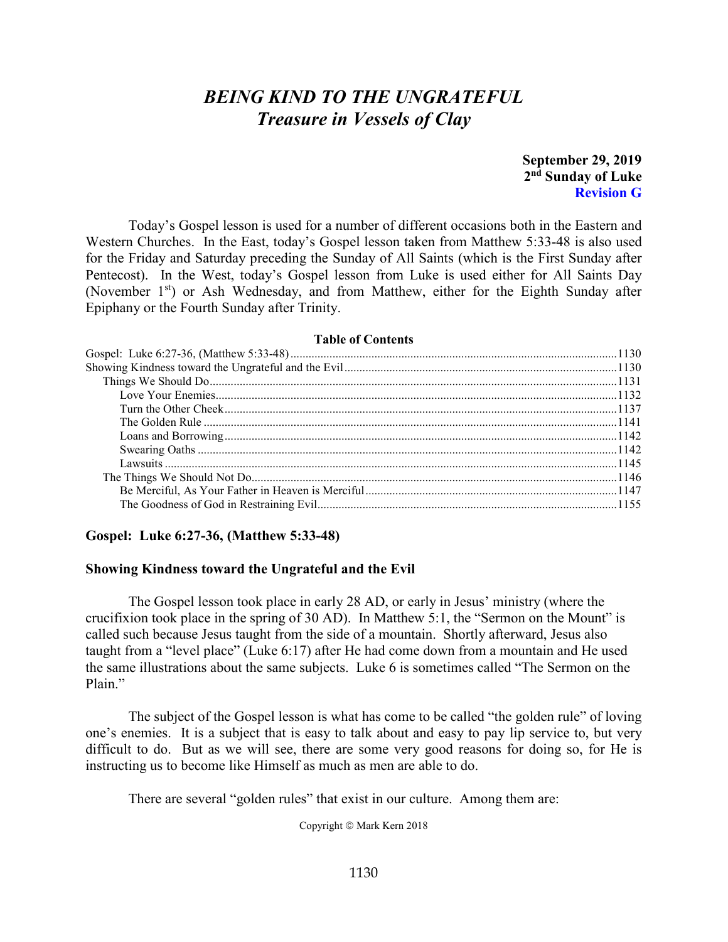# *BEING KIND TO THE UNGRATEFUL Treasure in Vessels of Clay*

**September 29, 2019 2nd Sunday of Luke Revision G**

Today's Gospel lesson is used for a number of different occasions both in the Eastern and Western Churches. In the East, today's Gospel lesson taken from Matthew 5:33-48 is also used for the Friday and Saturday preceding the Sunday of All Saints (which is the First Sunday after Pentecost). In the West, today's Gospel lesson from Luke is used either for All Saints Day (November 1<sup>st</sup>) or Ash Wednesday, and from Matthew, either for the Eighth Sunday after Epiphany or the Fourth Sunday after Trinity.

#### **Table of Contents**

| LAULO VI VAILLEILA |  |
|--------------------|--|
|                    |  |
|                    |  |
|                    |  |
|                    |  |
|                    |  |
|                    |  |
|                    |  |
|                    |  |
|                    |  |
|                    |  |
|                    |  |
|                    |  |
|                    |  |

#### <span id="page-0-0"></span>**Gospel: Luke 6:27-36, (Matthew 5:33-48)**

#### <span id="page-0-1"></span>**Showing Kindness toward the Ungrateful and the Evil**

The Gospel lesson took place in early 28 AD, or early in Jesus' ministry (where the crucifixion took place in the spring of 30 AD). In Matthew 5:1, the "Sermon on the Mount" is called such because Jesus taught from the side of a mountain. Shortly afterward, Jesus also taught from a "level place" (Luke 6:17) after He had come down from a mountain and He used the same illustrations about the same subjects. Luke 6 is sometimes called "The Sermon on the Plain."

The subject of the Gospel lesson is what has come to be called "the golden rule" of loving one's enemies. It is a subject that is easy to talk about and easy to pay lip service to, but very difficult to do. But as we will see, there are some very good reasons for doing so, for He is instructing us to become like Himself as much as men are able to do.

There are several "golden rules" that exist in our culture. Among them are:

Copyright © Mark Kern 2018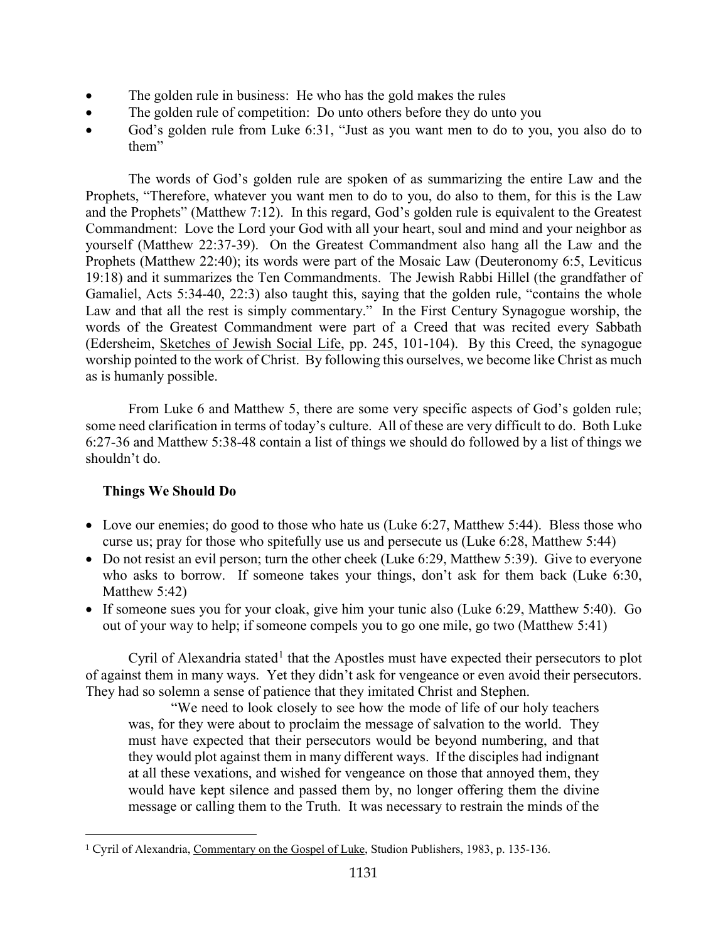- The golden rule in business: He who has the gold makes the rules
- The golden rule of competition: Do unto others before they do unto you
- God's golden rule from Luke 6:31, "Just as you want men to do to you, you also do to them"

The words of God's golden rule are spoken of as summarizing the entire Law and the Prophets, "Therefore, whatever you want men to do to you, do also to them, for this is the Law and the Prophets" (Matthew 7:12). In this regard, God's golden rule is equivalent to the Greatest Commandment: Love the Lord your God with all your heart, soul and mind and your neighbor as yourself (Matthew 22:37-39). On the Greatest Commandment also hang all the Law and the Prophets (Matthew 22:40); its words were part of the Mosaic Law (Deuteronomy 6:5, Leviticus 19:18) and it summarizes the Ten Commandments. The Jewish Rabbi Hillel (the grandfather of Gamaliel, Acts 5:34-40, 22:3) also taught this, saying that the golden rule, "contains the whole Law and that all the rest is simply commentary." In the First Century Synagogue worship, the words of the Greatest Commandment were part of a Creed that was recited every Sabbath (Edersheim, Sketches of Jewish Social Life, pp. 245, 101-104). By this Creed, the synagogue worship pointed to the work of Christ. By following this ourselves, we become like Christ as much as is humanly possible.

From Luke 6 and Matthew 5, there are some very specific aspects of God's golden rule; some need clarification in terms of today's culture. All of these are very difficult to do. Both Luke 6:27-36 and Matthew 5:38-48 contain a list of things we should do followed by a list of things we shouldn't do.

# <span id="page-1-0"></span>**Things We Should Do**

- Love our enemies; do good to those who hate us (Luke 6:27, Matthew 5:44). Bless those who curse us; pray for those who spitefully use us and persecute us (Luke 6:28, Matthew 5:44)
- Do not resist an evil person; turn the other cheek (Luke 6:29, Matthew 5:39). Give to everyone who asks to borrow. If someone takes your things, don't ask for them back (Luke 6:30, Matthew 5:42)
- If someone sues you for your cloak, give him your tunic also (Luke 6:29, Matthew 5:40). Go out of your way to help; if someone compels you to go one mile, go two (Matthew 5:41)

Cyril of Alexandria stated<sup>[1](#page-1-1)</sup> that the Apostles must have expected their persecutors to plot of against them in many ways. Yet they didn't ask for vengeance or even avoid their persecutors. They had so solemn a sense of patience that they imitated Christ and Stephen.

"We need to look closely to see how the mode of life of our holy teachers was, for they were about to proclaim the message of salvation to the world. They must have expected that their persecutors would be beyond numbering, and that they would plot against them in many different ways. If the disciples had indignant at all these vexations, and wished for vengeance on those that annoyed them, they would have kept silence and passed them by, no longer offering them the divine message or calling them to the Truth. It was necessary to restrain the minds of the

<span id="page-1-1"></span> <sup>1</sup> Cyril of Alexandria, Commentary on the Gospel of Luke, Studion Publishers, 1983, p. 135-136.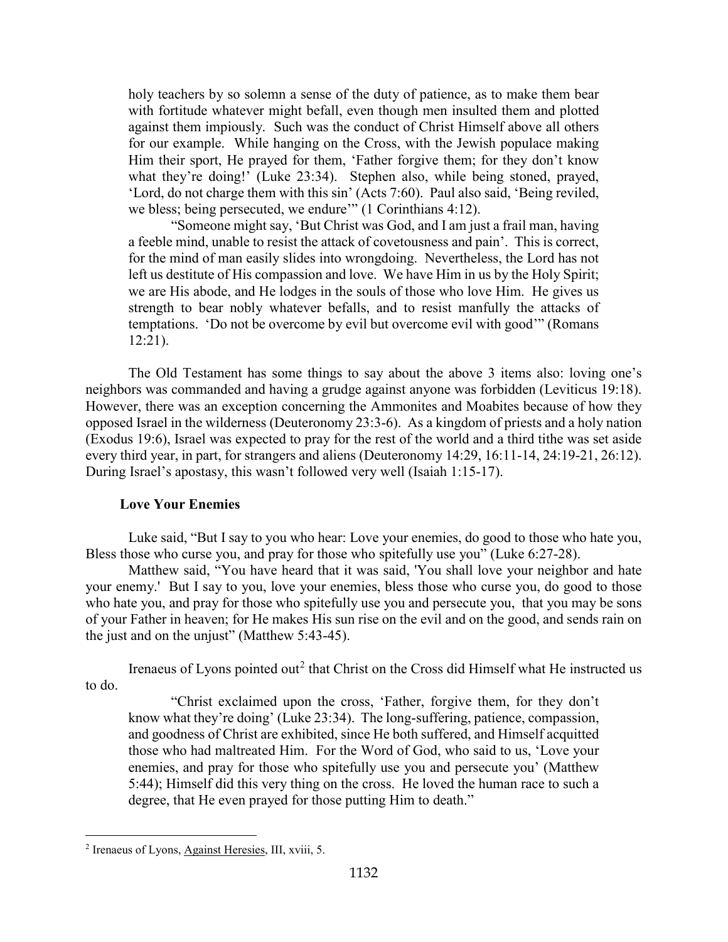holy teachers by so solemn a sense of the duty of patience, as to make them bear with fortitude whatever might befall, even though men insulted them and plotted against them impiously. Such was the conduct of Christ Himself above all others for our example. While hanging on the Cross, with the Jewish populace making Him their sport, He prayed for them, 'Father forgive them; for they don't know what they're doing!' (Luke 23:34). Stephen also, while being stoned, prayed, 'Lord, do not charge them with this sin' (Acts 7:60). Paul also said, 'Being reviled, we bless; being persecuted, we endure<sup>37</sup> (1 Corinthians 4:12).

"Someone might say, 'But Christ was God, and I am just a frail man, having a feeble mind, unable to resist the attack of covetousness and pain'. This is correct, for the mind of man easily slides into wrongdoing. Nevertheless, the Lord has not left us destitute of His compassion and love. We have Him in us by the Holy Spirit; we are His abode, and He lodges in the souls of those who love Him. He gives us strength to bear nobly whatever befalls, and to resist manfully the attacks of temptations. 'Do not be overcome by evil but overcome evil with good'" (Romans 12:21).

The Old Testament has some things to say about the above 3 items also: loving one's neighbors was commanded and having a grudge against anyone was forbidden (Leviticus 19:18). However, there was an exception concerning the Ammonites and Moabites because of how they opposed Israel in the wilderness (Deuteronomy 23:3-6). As a kingdom of priests and a holy nation (Exodus 19:6), Israel was expected to pray for the rest of the world and a third tithe was set aside every third year, in part, for strangers and aliens (Deuteronomy 14:29, 16:11-14, 24:19-21, 26:12). During Israel's apostasy, this wasn't followed very well (Isaiah 1:15-17).

# **Love Your Enemies**

<span id="page-2-0"></span>Luke said, "But I say to you who hear: Love your enemies, do good to those who hate you, Bless those who curse you, and pray for those who spitefully use you" (Luke 6:27-28).

Matthew said, "You have heard that it was said, 'You shall love your neighbor and hate your enemy.' But I say to you, love your enemies, bless those who curse you, do good to those who hate you, and pray for those who spitefully use you and persecute you, that you may be sons of your Father in heaven; for He makes His sun rise on the evil and on the good, and sends rain on the just and on the unjust" (Matthew 5:43-45).

Irenaeus of Lyons pointed out<sup>[2](#page-2-1)</sup> that Christ on the Cross did Himself what He instructed us to do.

"Christ exclaimed upon the cross, 'Father, forgive them, for they don't know what they're doing' (Luke 23:34). The long-suffering, patience, compassion, and goodness of Christ are exhibited, since He both suffered, and Himself acquitted those who had maltreated Him. For the Word of God, who said to us, 'Love your enemies, and pray for those who spitefully use you and persecute you' (Matthew 5:44); Himself did this very thing on the cross. He loved the human race to such a degree, that He even prayed for those putting Him to death."

<span id="page-2-1"></span><sup>2</sup> Irenaeus of Lyons, Against Heresies, III, xviii, 5.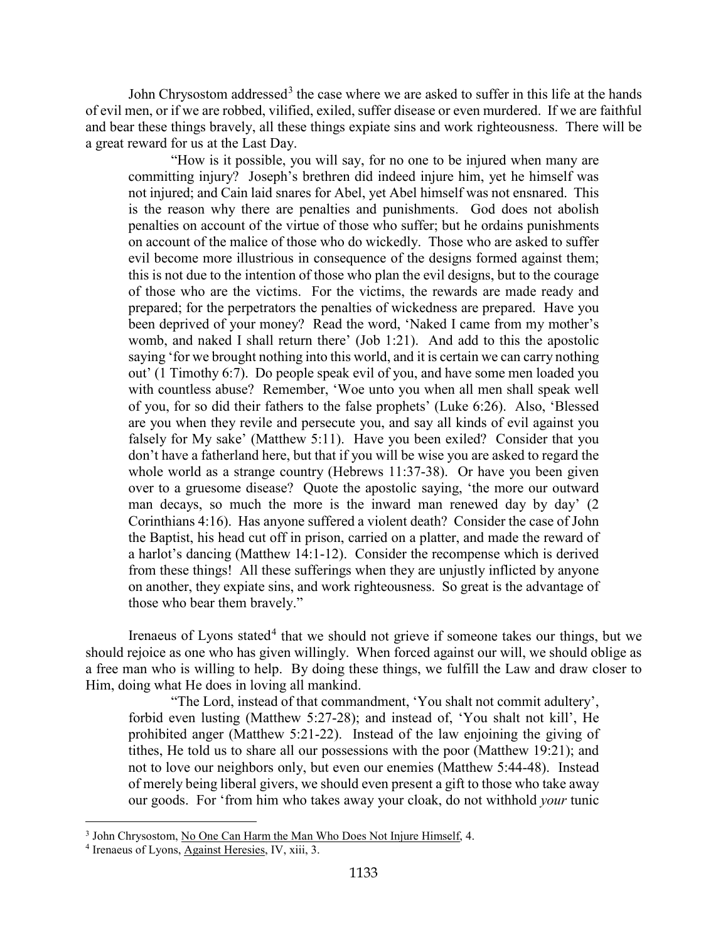John Chrysostom addressed<sup>[3](#page-3-0)</sup> the case where we are asked to suffer in this life at the hands of evil men, or if we are robbed, vilified, exiled, suffer disease or even murdered. If we are faithful and bear these things bravely, all these things expiate sins and work righteousness. There will be a great reward for us at the Last Day.

"How is it possible, you will say, for no one to be injured when many are committing injury? Joseph's brethren did indeed injure him, yet he himself was not injured; and Cain laid snares for Abel, yet Abel himself was not ensnared. This is the reason why there are penalties and punishments. God does not abolish penalties on account of the virtue of those who suffer; but he ordains punishments on account of the malice of those who do wickedly. Those who are asked to suffer evil become more illustrious in consequence of the designs formed against them; this is not due to the intention of those who plan the evil designs, but to the courage of those who are the victims. For the victims, the rewards are made ready and prepared; for the perpetrators the penalties of wickedness are prepared. Have you been deprived of your money? Read the word, 'Naked I came from my mother's womb, and naked I shall return there' (Job 1:21). And add to this the apostolic saying 'for we brought nothing into this world, and it is certain we can carry nothing out' (1 Timothy 6:7). Do people speak evil of you, and have some men loaded you with countless abuse? Remember, 'Woe unto you when all men shall speak well of you, for so did their fathers to the false prophets' (Luke 6:26). Also, 'Blessed are you when they revile and persecute you, and say all kinds of evil against you falsely for My sake' (Matthew 5:11). Have you been exiled? Consider that you don't have a fatherland here, but that if you will be wise you are asked to regard the whole world as a strange country (Hebrews 11:37-38). Or have you been given over to a gruesome disease? Quote the apostolic saying, 'the more our outward man decays, so much the more is the inward man renewed day by day' (2 Corinthians 4:16). Has anyone suffered a violent death? Consider the case of John the Baptist, his head cut off in prison, carried on a platter, and made the reward of a harlot's dancing (Matthew 14:1-12). Consider the recompense which is derived from these things! All these sufferings when they are unjustly inflicted by anyone on another, they expiate sins, and work righteousness. So great is the advantage of those who bear them bravely."

Irenaeus of Lyons stated<sup>[4](#page-3-1)</sup> that we should not grieve if someone takes our things, but we should rejoice as one who has given willingly. When forced against our will, we should oblige as a free man who is willing to help. By doing these things, we fulfill the Law and draw closer to Him, doing what He does in loving all mankind.

"The Lord, instead of that commandment, 'You shalt not commit adultery', forbid even lusting (Matthew 5:27-28); and instead of, 'You shalt not kill', He prohibited anger (Matthew 5:21-22). Instead of the law enjoining the giving of tithes, He told us to share all our possessions with the poor (Matthew 19:21); and not to love our neighbors only, but even our enemies (Matthew 5:44-48). Instead of merely being liberal givers, we should even present a gift to those who take away our goods. For 'from him who takes away your cloak, do not withhold *your* tunic

<span id="page-3-0"></span><sup>&</sup>lt;sup>3</sup> John Chrysostom, No One Can Harm the Man Who Does Not Injure Himself, 4.

<span id="page-3-1"></span><sup>4</sup> Irenaeus of Lyons, Against Heresies, IV, xiii, 3.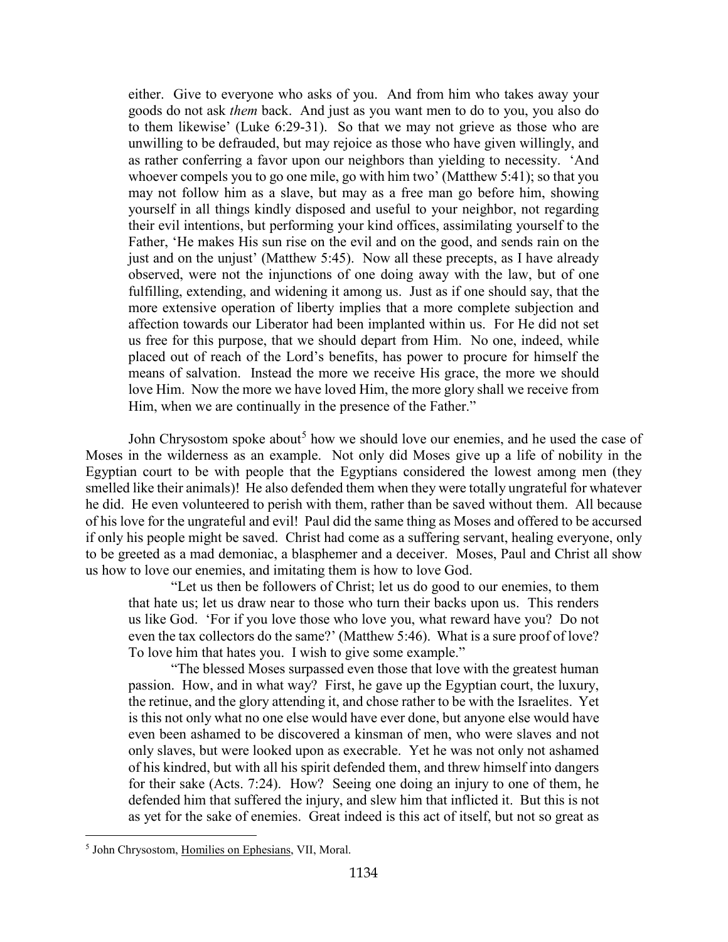either. Give to everyone who asks of you. And from him who takes away your goods do not ask *them* back. And just as you want men to do to you, you also do to them likewise' (Luke 6:29-31). So that we may not grieve as those who are unwilling to be defrauded, but may rejoice as those who have given willingly, and as rather conferring a favor upon our neighbors than yielding to necessity. 'And whoever compels you to go one mile, go with him two' (Matthew 5:41); so that you may not follow him as a slave, but may as a free man go before him, showing yourself in all things kindly disposed and useful to your neighbor, not regarding their evil intentions, but performing your kind offices, assimilating yourself to the Father, 'He makes His sun rise on the evil and on the good, and sends rain on the just and on the unjust' (Matthew 5:45). Now all these precepts, as I have already observed, were not the injunctions of one doing away with the law, but of one fulfilling, extending, and widening it among us. Just as if one should say, that the more extensive operation of liberty implies that a more complete subjection and affection towards our Liberator had been implanted within us. For He did not set us free for this purpose, that we should depart from Him. No one, indeed, while placed out of reach of the Lord's benefits, has power to procure for himself the means of salvation. Instead the more we receive His grace, the more we should love Him. Now the more we have loved Him, the more glory shall we receive from Him, when we are continually in the presence of the Father."

John Chrysostom spoke about<sup>[5](#page-4-0)</sup> how we should love our enemies, and he used the case of Moses in the wilderness as an example. Not only did Moses give up a life of nobility in the Egyptian court to be with people that the Egyptians considered the lowest among men (they smelled like their animals)! He also defended them when they were totally ungrateful for whatever he did. He even volunteered to perish with them, rather than be saved without them. All because of his love for the ungrateful and evil! Paul did the same thing as Moses and offered to be accursed if only his people might be saved. Christ had come as a suffering servant, healing everyone, only to be greeted as a mad demoniac, a blasphemer and a deceiver. Moses, Paul and Christ all show us how to love our enemies, and imitating them is how to love God.

"Let us then be followers of Christ; let us do good to our enemies, to them that hate us; let us draw near to those who turn their backs upon us. This renders us like God. 'For if you love those who love you, what reward have you? Do not even the tax collectors do the same?' (Matthew 5:46). What is a sure proof of love? To love him that hates you. I wish to give some example."

"The blessed Moses surpassed even those that love with the greatest human passion. How, and in what way? First, he gave up the Egyptian court, the luxury, the retinue, and the glory attending it, and chose rather to be with the Israelites. Yet is this not only what no one else would have ever done, but anyone else would have even been ashamed to be discovered a kinsman of men, who were slaves and not only slaves, but were looked upon as execrable. Yet he was not only not ashamed of his kindred, but with all his spirit defended them, and threw himself into dangers for their sake (Acts. 7:24). How? Seeing one doing an injury to one of them, he defended him that suffered the injury, and slew him that inflicted it. But this is not as yet for the sake of enemies. Great indeed is this act of itself, but not so great as

<span id="page-4-0"></span><sup>5</sup> John Chrysostom, Homilies on Ephesians, VII, Moral.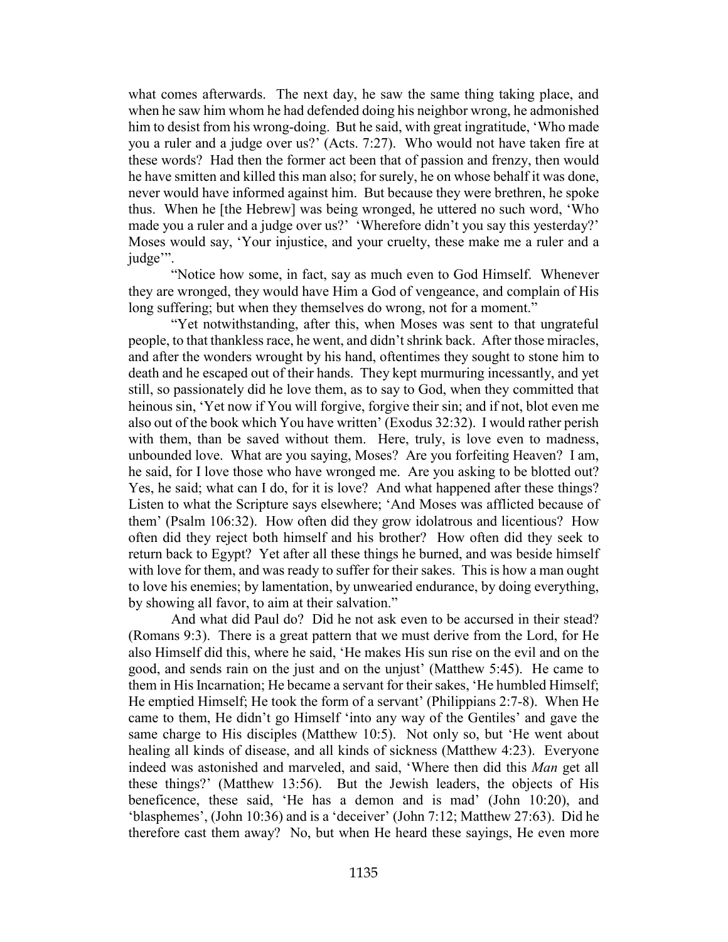what comes afterwards. The next day, he saw the same thing taking place, and when he saw him whom he had defended doing his neighbor wrong, he admonished him to desist from his wrong-doing. But he said, with great ingratitude, 'Who made you a ruler and a judge over us?' (Acts. 7:27). Who would not have taken fire at these words? Had then the former act been that of passion and frenzy, then would he have smitten and killed this man also; for surely, he on whose behalf it was done, never would have informed against him. But because they were brethren, he spoke thus. When he [the Hebrew] was being wronged, he uttered no such word, 'Who made you a ruler and a judge over us?' 'Wherefore didn't you say this yesterday?' Moses would say, 'Your injustice, and your cruelty, these make me a ruler and a judge".

"Notice how some, in fact, say as much even to God Himself. Whenever they are wronged, they would have Him a God of vengeance, and complain of His long suffering; but when they themselves do wrong, not for a moment."

"Yet notwithstanding, after this, when Moses was sent to that ungrateful people, to that thankless race, he went, and didn't shrink back. After those miracles, and after the wonders wrought by his hand, oftentimes they sought to stone him to death and he escaped out of their hands. They kept murmuring incessantly, and yet still, so passionately did he love them, as to say to God, when they committed that heinous sin, 'Yet now if You will forgive, forgive their sin; and if not, blot even me also out of the book which You have written' (Exodus 32:32). I would rather perish with them, than be saved without them. Here, truly, is love even to madness, unbounded love. What are you saying, Moses? Are you forfeiting Heaven? I am, he said, for I love those who have wronged me. Are you asking to be blotted out? Yes, he said; what can I do, for it is love? And what happened after these things? Listen to what the Scripture says elsewhere; 'And Moses was afflicted because of them' (Psalm 106:32). How often did they grow idolatrous and licentious? How often did they reject both himself and his brother? How often did they seek to return back to Egypt? Yet after all these things he burned, and was beside himself with love for them, and was ready to suffer for their sakes. This is how a man ought to love his enemies; by lamentation, by unwearied endurance, by doing everything, by showing all favor, to aim at their salvation."

And what did Paul do? Did he not ask even to be accursed in their stead? (Romans 9:3). There is a great pattern that we must derive from the Lord, for He also Himself did this, where he said, 'He makes His sun rise on the evil and on the good, and sends rain on the just and on the unjust' (Matthew 5:45). He came to them in His Incarnation; He became a servant for their sakes, 'He humbled Himself; He emptied Himself; He took the form of a servant' (Philippians 2:7-8). When He came to them, He didn't go Himself 'into any way of the Gentiles' and gave the same charge to His disciples (Matthew 10:5). Not only so, but 'He went about healing all kinds of disease, and all kinds of sickness (Matthew 4:23). Everyone indeed was astonished and marveled, and said, 'Where then did this *Man* get all these things?' (Matthew 13:56). But the Jewish leaders, the objects of His beneficence, these said, 'He has a demon and is mad' (John 10:20), and 'blasphemes', (John 10:36) and is a 'deceiver' (John 7:12; Matthew 27:63). Did he therefore cast them away? No, but when He heard these sayings, He even more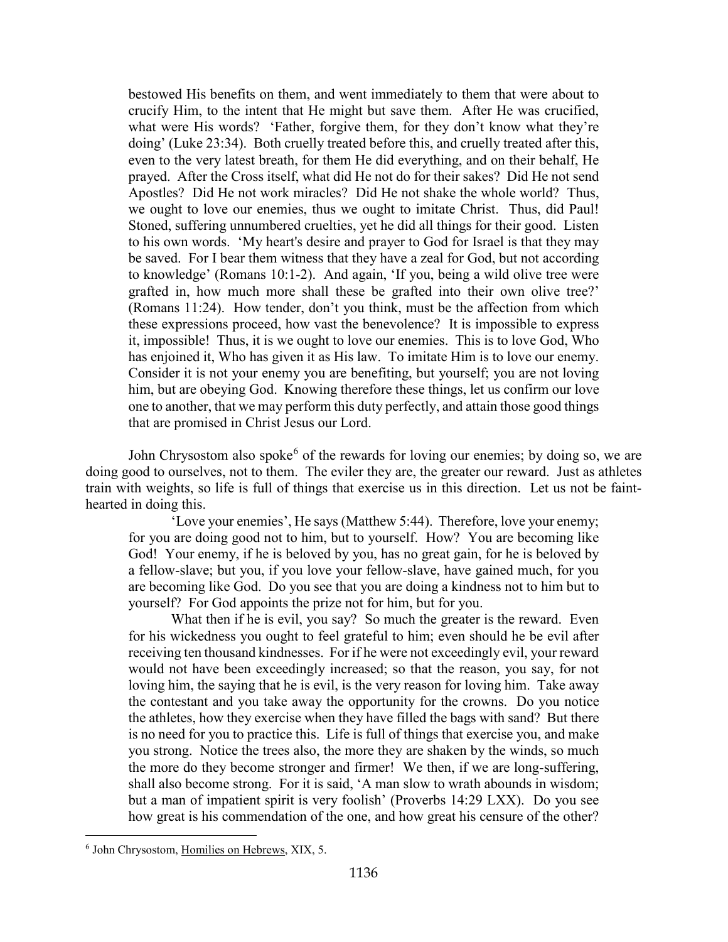bestowed His benefits on them, and went immediately to them that were about to crucify Him, to the intent that He might but save them. After He was crucified, what were His words? 'Father, forgive them, for they don't know what they're doing' (Luke 23:34). Both cruelly treated before this, and cruelly treated after this, even to the very latest breath, for them He did everything, and on their behalf, He prayed. After the Cross itself, what did He not do for their sakes? Did He not send Apostles? Did He not work miracles? Did He not shake the whole world? Thus, we ought to love our enemies, thus we ought to imitate Christ. Thus, did Paul! Stoned, suffering unnumbered cruelties, yet he did all things for their good. Listen to his own words. 'My heart's desire and prayer to God for Israel is that they may be saved. For I bear them witness that they have a zeal for God, but not according to knowledge' (Romans 10:1-2). And again, 'If you, being a wild olive tree were grafted in, how much more shall these be grafted into their own olive tree?' (Romans 11:24). How tender, don't you think, must be the affection from which these expressions proceed, how vast the benevolence? It is impossible to express it, impossible! Thus, it is we ought to love our enemies. This is to love God, Who has enjoined it, Who has given it as His law. To imitate Him is to love our enemy. Consider it is not your enemy you are benefiting, but yourself; you are not loving him, but are obeying God. Knowing therefore these things, let us confirm our love one to another, that we may perform this duty perfectly, and attain those good things that are promised in Christ Jesus our Lord.

John Chrysostom also spoke<sup>[6](#page-6-0)</sup> of the rewards for loving our enemies; by doing so, we are doing good to ourselves, not to them. The eviler they are, the greater our reward. Just as athletes train with weights, so life is full of things that exercise us in this direction. Let us not be fainthearted in doing this.

'Love your enemies', He says (Matthew 5:44). Therefore, love your enemy; for you are doing good not to him, but to yourself. How? You are becoming like God! Your enemy, if he is beloved by you, has no great gain, for he is beloved by a fellow-slave; but you, if you love your fellow-slave, have gained much, for you are becoming like God. Do you see that you are doing a kindness not to him but to yourself? For God appoints the prize not for him, but for you.

What then if he is evil, you say? So much the greater is the reward. Even for his wickedness you ought to feel grateful to him; even should he be evil after receiving ten thousand kindnesses. For if he were not exceedingly evil, your reward would not have been exceedingly increased; so that the reason, you say, for not loving him, the saying that he is evil, is the very reason for loving him. Take away the contestant and you take away the opportunity for the crowns. Do you notice the athletes, how they exercise when they have filled the bags with sand? But there is no need for you to practice this. Life is full of things that exercise you, and make you strong. Notice the trees also, the more they are shaken by the winds, so much the more do they become stronger and firmer! We then, if we are long-suffering, shall also become strong. For it is said, 'A man slow to wrath abounds in wisdom; but a man of impatient spirit is very foolish' (Proverbs 14:29 LXX). Do you see how great is his commendation of the one, and how great his censure of the other?

<span id="page-6-0"></span><sup>6</sup> John Chrysostom, Homilies on Hebrews, XIX, 5.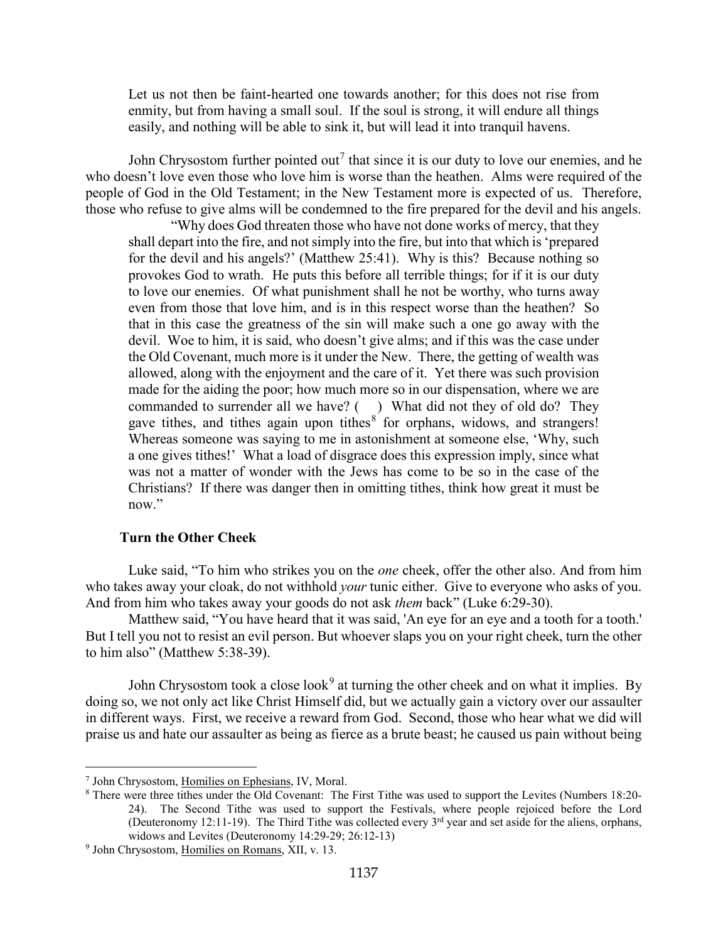Let us not then be faint-hearted one towards another; for this does not rise from enmity, but from having a small soul. If the soul is strong, it will endure all things easily, and nothing will be able to sink it, but will lead it into tranquil havens.

John Chrysostom further pointed out<sup>[7](#page-7-1)</sup> that since it is our duty to love our enemies, and he who doesn't love even those who love him is worse than the heathen. Alms were required of the people of God in the Old Testament; in the New Testament more is expected of us. Therefore, those who refuse to give alms will be condemned to the fire prepared for the devil and his angels.

"Why does God threaten those who have not done works of mercy, that they shall depart into the fire, and not simply into the fire, but into that which is 'prepared for the devil and his angels?' (Matthew 25:41). Why is this? Because nothing so provokes God to wrath. He puts this before all terrible things; for if it is our duty to love our enemies. Of what punishment shall he not be worthy, who turns away even from those that love him, and is in this respect worse than the heathen? So that in this case the greatness of the sin will make such a one go away with the devil. Woe to him, it is said, who doesn't give alms; and if this was the case under the Old Covenant, much more is it under the New. There, the getting of wealth was allowed, along with the enjoyment and the care of it. Yet there was such provision made for the aiding the poor; how much more so in our dispensation, where we are commanded to surrender all we have? () What did not they of old do? They gave tithes, and tithes again upon tithes<sup>[8](#page-7-2)</sup> for orphans, widows, and strangers! Whereas someone was saying to me in astonishment at someone else, 'Why, such a one gives tithes!' What a load of disgrace does this expression imply, since what was not a matter of wonder with the Jews has come to be so in the case of the Christians? If there was danger then in omitting tithes, think how great it must be now."

#### **Turn the Other Cheek**

<span id="page-7-0"></span>Luke said, "To him who strikes you on the *one* cheek, offer the other also. And from him who takes away your cloak, do not withhold *your* tunic either. Give to everyone who asks of you. And from him who takes away your goods do not ask *them* back" (Luke 6:29-30).

Matthew said, "You have heard that it was said, 'An eye for an eye and a tooth for a tooth.' But I tell you not to resist an evil person. But whoever slaps you on your right cheek, turn the other to him also" (Matthew 5:38-39).

John Chrysostom took a close look<sup>[9](#page-7-3)</sup> at turning the other cheek and on what it implies. By doing so, we not only act like Christ Himself did, but we actually gain a victory over our assaulter in different ways. First, we receive a reward from God. Second, those who hear what we did will praise us and hate our assaulter as being as fierce as a brute beast; he caused us pain without being

<span id="page-7-1"></span><sup>7</sup> John Chrysostom, Homilies on Ephesians, IV, Moral.

<span id="page-7-2"></span><sup>8</sup> There were three tithes under the Old Covenant: The First Tithe was used to support the Levites (Numbers 18:20- 24). The Second Tithe was used to support the Festivals, where people rejoiced before the Lord (Deuteronomy 12:11-19). The Third Tithe was collected every  $3<sup>rd</sup>$  year and set aside for the aliens, orphans, widows and Levites (Deuteronomy 14:29-29; 26:12-13)

<span id="page-7-3"></span><sup>9</sup> John Chrysostom, Homilies on Romans, XII, v. 13.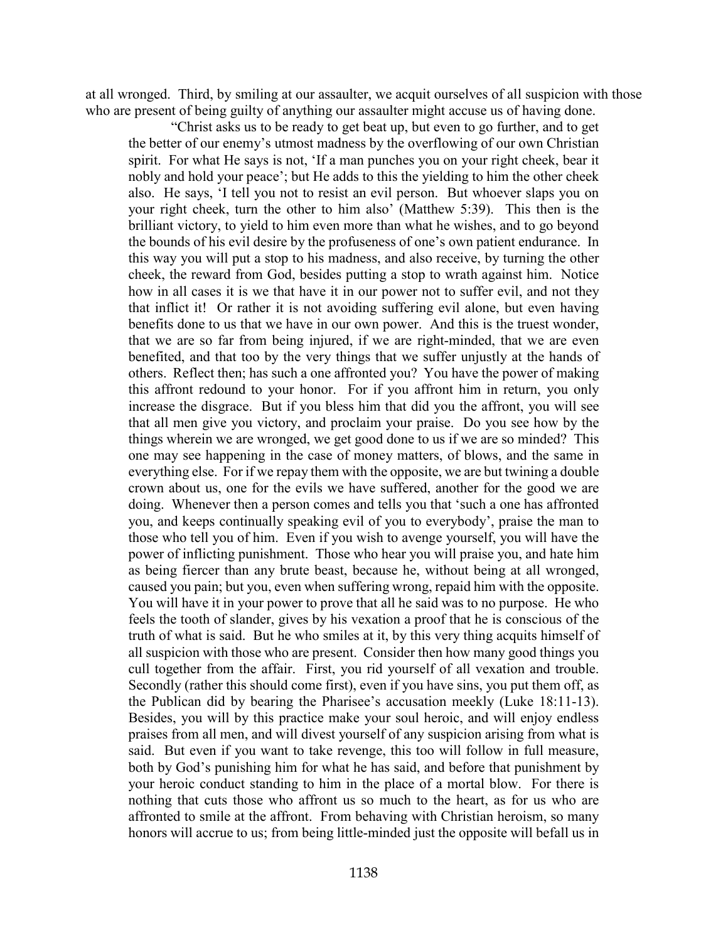at all wronged. Third, by smiling at our assaulter, we acquit ourselves of all suspicion with those who are present of being guilty of anything our assaulter might accuse us of having done.

"Christ asks us to be ready to get beat up, but even to go further, and to get the better of our enemy's utmost madness by the overflowing of our own Christian spirit. For what He says is not, 'If a man punches you on your right cheek, bear it nobly and hold your peace'; but He adds to this the yielding to him the other cheek also. He says, 'I tell you not to resist an evil person. But whoever slaps you on your right cheek, turn the other to him also' (Matthew 5:39). This then is the brilliant victory, to yield to him even more than what he wishes, and to go beyond the bounds of his evil desire by the profuseness of one's own patient endurance. In this way you will put a stop to his madness, and also receive, by turning the other cheek, the reward from God, besides putting a stop to wrath against him. Notice how in all cases it is we that have it in our power not to suffer evil, and not they that inflict it! Or rather it is not avoiding suffering evil alone, but even having benefits done to us that we have in our own power. And this is the truest wonder, that we are so far from being injured, if we are right-minded, that we are even benefited, and that too by the very things that we suffer unjustly at the hands of others. Reflect then; has such a one affronted you? You have the power of making this affront redound to your honor. For if you affront him in return, you only increase the disgrace. But if you bless him that did you the affront, you will see that all men give you victory, and proclaim your praise. Do you see how by the things wherein we are wronged, we get good done to us if we are so minded? This one may see happening in the case of money matters, of blows, and the same in everything else. For if we repay them with the opposite, we are but twining a double crown about us, one for the evils we have suffered, another for the good we are doing. Whenever then a person comes and tells you that 'such a one has affronted you, and keeps continually speaking evil of you to everybody', praise the man to those who tell you of him. Even if you wish to avenge yourself, you will have the power of inflicting punishment. Those who hear you will praise you, and hate him as being fiercer than any brute beast, because he, without being at all wronged, caused you pain; but you, even when suffering wrong, repaid him with the opposite. You will have it in your power to prove that all he said was to no purpose. He who feels the tooth of slander, gives by his vexation a proof that he is conscious of the truth of what is said. But he who smiles at it, by this very thing acquits himself of all suspicion with those who are present. Consider then how many good things you cull together from the affair. First, you rid yourself of all vexation and trouble. Secondly (rather this should come first), even if you have sins, you put them off, as the Publican did by bearing the Pharisee's accusation meekly (Luke 18:11-13). Besides, you will by this practice make your soul heroic, and will enjoy endless praises from all men, and will divest yourself of any suspicion arising from what is said. But even if you want to take revenge, this too will follow in full measure, both by God's punishing him for what he has said, and before that punishment by your heroic conduct standing to him in the place of a mortal blow. For there is nothing that cuts those who affront us so much to the heart, as for us who are affronted to smile at the affront. From behaving with Christian heroism, so many honors will accrue to us; from being little-minded just the opposite will befall us in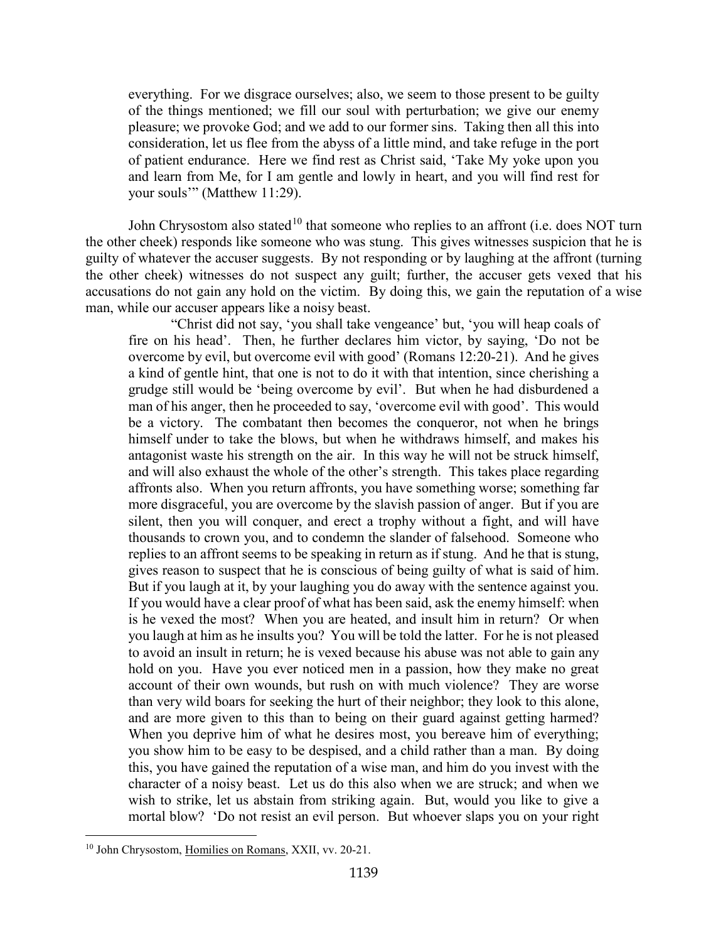everything. For we disgrace ourselves; also, we seem to those present to be guilty of the things mentioned; we fill our soul with perturbation; we give our enemy pleasure; we provoke God; and we add to our former sins. Taking then all this into consideration, let us flee from the abyss of a little mind, and take refuge in the port of patient endurance. Here we find rest as Christ said, 'Take My yoke upon you and learn from Me, for I am gentle and lowly in heart, and you will find rest for your souls'" (Matthew 11:29).

John Chrysostom also stated<sup>[10](#page-9-0)</sup> that someone who replies to an affront (i.e. does NOT turn the other cheek) responds like someone who was stung. This gives witnesses suspicion that he is guilty of whatever the accuser suggests. By not responding or by laughing at the affront (turning the other cheek) witnesses do not suspect any guilt; further, the accuser gets vexed that his accusations do not gain any hold on the victim. By doing this, we gain the reputation of a wise man, while our accuser appears like a noisy beast.

"Christ did not say, 'you shall take vengeance' but, 'you will heap coals of fire on his head'. Then, he further declares him victor, by saying, 'Do not be overcome by evil, but overcome evil with good' (Romans 12:20-21). And he gives a kind of gentle hint, that one is not to do it with that intention, since cherishing a grudge still would be 'being overcome by evil'. But when he had disburdened a man of his anger, then he proceeded to say, 'overcome evil with good'. This would be a victory. The combatant then becomes the conqueror, not when he brings himself under to take the blows, but when he withdraws himself, and makes his antagonist waste his strength on the air. In this way he will not be struck himself, and will also exhaust the whole of the other's strength. This takes place regarding affronts also. When you return affronts, you have something worse; something far more disgraceful, you are overcome by the slavish passion of anger. But if you are silent, then you will conquer, and erect a trophy without a fight, and will have thousands to crown you, and to condemn the slander of falsehood. Someone who replies to an affront seems to be speaking in return as if stung. And he that is stung, gives reason to suspect that he is conscious of being guilty of what is said of him. But if you laugh at it, by your laughing you do away with the sentence against you. If you would have a clear proof of what has been said, ask the enemy himself: when is he vexed the most? When you are heated, and insult him in return? Or when you laugh at him as he insults you? You will be told the latter. For he is not pleased to avoid an insult in return; he is vexed because his abuse was not able to gain any hold on you. Have you ever noticed men in a passion, how they make no great account of their own wounds, but rush on with much violence? They are worse than very wild boars for seeking the hurt of their neighbor; they look to this alone, and are more given to this than to being on their guard against getting harmed? When you deprive him of what he desires most, you bereave him of everything; you show him to be easy to be despised, and a child rather than a man. By doing this, you have gained the reputation of a wise man, and him do you invest with the character of a noisy beast. Let us do this also when we are struck; and when we wish to strike, let us abstain from striking again. But, would you like to give a mortal blow? 'Do not resist an evil person. But whoever slaps you on your right

<span id="page-9-0"></span><sup>&</sup>lt;sup>10</sup> John Chrysostom, Homilies on Romans, XXII, vv. 20-21.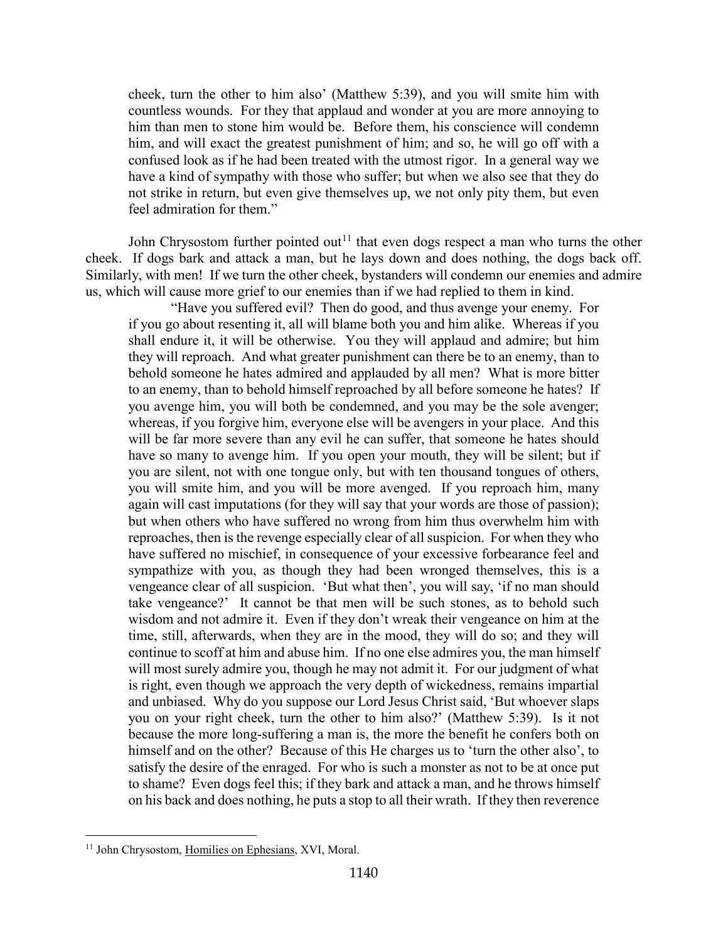cheek, turn the other to him also' (Matthew 5:39), and you will smite him with countless wounds. For they that applaud and wonder at you are more annoying to him than men to stone him would be. Before them, his conscience will condemn him, and will exact the greatest punishment of him; and so, he will go off with a confused look as if he had been treated with the utmost rigor. In a general way we have a kind of sympathy with those who suffer; but when we also see that they do not strike in return, but even give themselves up, we not only pity them, but even feel admiration for them."

John Chrysostom further pointed out<sup>[11](#page-10-0)</sup> that even dogs respect a man who turns the other cheek. If dogs bark and attack a man, but he lays down and does nothing, the dogs back off. Similarly, with men! If we turn the other cheek, bystanders will condemn our enemies and admire us, which will cause more grief to our enemies than if we had replied to them in kind.

"Have you suffered evil? Then do good, and thus avenge your enemy. For if you go about resenting it, all will blame both you and him alike. Whereas if you shall endure it, it will be otherwise. You they will applaud and admire; but him they will reproach. And what greater punishment can there be to an enemy, than to behold someone he hates admired and applauded by all men? What is more bitter to an enemy, than to behold himself reproached by all before someone he hates? If you avenge him, you will both be condemned, and you may be the sole avenger; whereas, if you forgive him, everyone else will be avengers in your place. And this will be far more severe than any evil he can suffer, that someone he hates should have so many to avenge him. If you open your mouth, they will be silent; but if you are silent, not with one tongue only, but with ten thousand tongues of others, you will smite him, and you will be more avenged. If you reproach him, many again will cast imputations (for they will say that your words are those of passion); but when others who have suffered no wrong from him thus overwhelm him with reproaches, then is the revenge especially clear of all suspicion. For when they who have suffered no mischief, in consequence of your excessive forbearance feel and sympathize with you, as though they had been wronged themselves, this is a vengeance clear of all suspicion. 'But what then', you will say, 'if no man should take vengeance?' It cannot be that men will be such stones, as to behold such wisdom and not admire it. Even if they don't wreak their vengeance on him at the time, still, afterwards, when they are in the mood, they will do so; and they will continue to scoff at him and abuse him. If no one else admires you, the man himself will most surely admire you, though he may not admit it. For our judgment of what is right, even though we approach the very depth of wickedness, remains impartial and unbiased. Why do you suppose our Lord Jesus Christ said, 'But whoever slaps you on your right cheek, turn the other to him also?' (Matthew 5:39). Is it not because the more long-suffering a man is, the more the benefit he confers both on himself and on the other? Because of this He charges us to 'turn the other also', to satisfy the desire of the enraged. For who is such a monster as not to be at once put to shame? Even dogs feel this; if they bark and attack a man, and he throws himself on his back and does nothing, he puts a stop to all their wrath. If they then reverence

<span id="page-10-0"></span><sup>&</sup>lt;sup>11</sup> John Chrysostom, Homilies on Ephesians, XVI, Moral.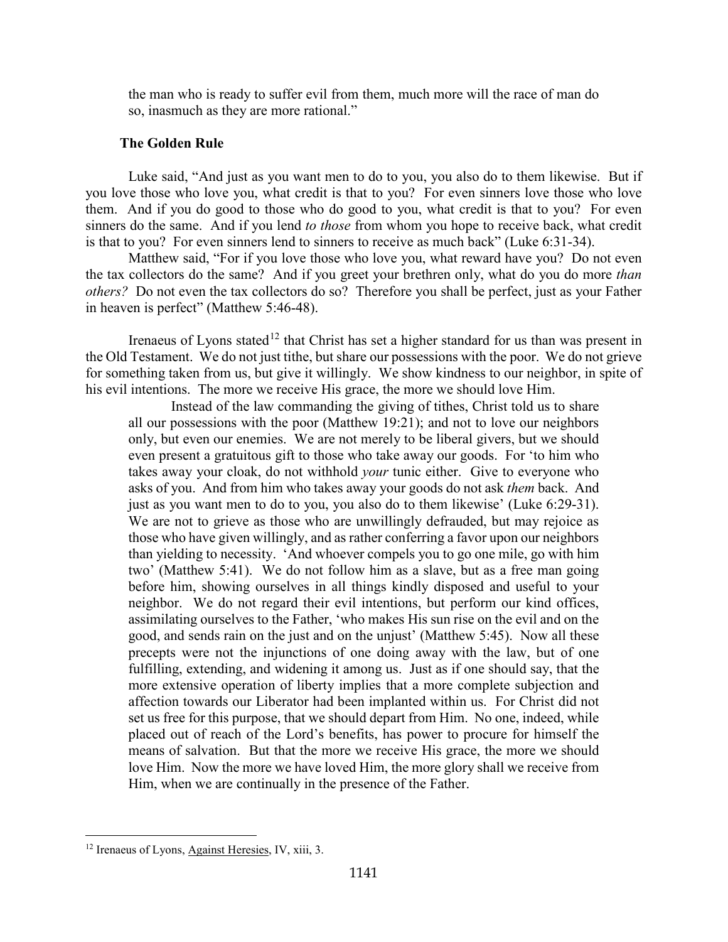the man who is ready to suffer evil from them, much more will the race of man do so, inasmuch as they are more rational."

#### **The Golden Rule**

<span id="page-11-0"></span>Luke said, "And just as you want men to do to you, you also do to them likewise. But if you love those who love you, what credit is that to you? For even sinners love those who love them. And if you do good to those who do good to you, what credit is that to you? For even sinners do the same. And if you lend *to those* from whom you hope to receive back, what credit is that to you? For even sinners lend to sinners to receive as much back" (Luke 6:31-34).

Matthew said, "For if you love those who love you, what reward have you? Do not even the tax collectors do the same? And if you greet your brethren only, what do you do more *than others?* Do not even the tax collectors do so? Therefore you shall be perfect, just as your Father in heaven is perfect" (Matthew 5:46-48).

Irenaeus of Lyons stated<sup>[12](#page-11-1)</sup> that Christ has set a higher standard for us than was present in the Old Testament. We do not just tithe, but share our possessions with the poor. We do not grieve for something taken from us, but give it willingly. We show kindness to our neighbor, in spite of his evil intentions. The more we receive His grace, the more we should love Him.

Instead of the law commanding the giving of tithes, Christ told us to share all our possessions with the poor (Matthew 19:21); and not to love our neighbors only, but even our enemies. We are not merely to be liberal givers, but we should even present a gratuitous gift to those who take away our goods. For 'to him who takes away your cloak, do not withhold *your* tunic either. Give to everyone who asks of you. And from him who takes away your goods do not ask *them* back. And just as you want men to do to you, you also do to them likewise' (Luke 6:29-31). We are not to grieve as those who are unwillingly defrauded, but may rejoice as those who have given willingly, and as rather conferring a favor upon our neighbors than yielding to necessity. 'And whoever compels you to go one mile, go with him two' (Matthew 5:41). We do not follow him as a slave, but as a free man going before him, showing ourselves in all things kindly disposed and useful to your neighbor. We do not regard their evil intentions, but perform our kind offices, assimilating ourselves to the Father, 'who makes His sun rise on the evil and on the good, and sends rain on the just and on the unjust' (Matthew 5:45). Now all these precepts were not the injunctions of one doing away with the law, but of one fulfilling, extending, and widening it among us. Just as if one should say, that the more extensive operation of liberty implies that a more complete subjection and affection towards our Liberator had been implanted within us. For Christ did not set us free for this purpose, that we should depart from Him. No one, indeed, while placed out of reach of the Lord's benefits, has power to procure for himself the means of salvation. But that the more we receive His grace, the more we should love Him. Now the more we have loved Him, the more glory shall we receive from Him, when we are continually in the presence of the Father.

<span id="page-11-1"></span><sup>&</sup>lt;sup>12</sup> Irenaeus of Lyons, Against Heresies, IV, xiii, 3.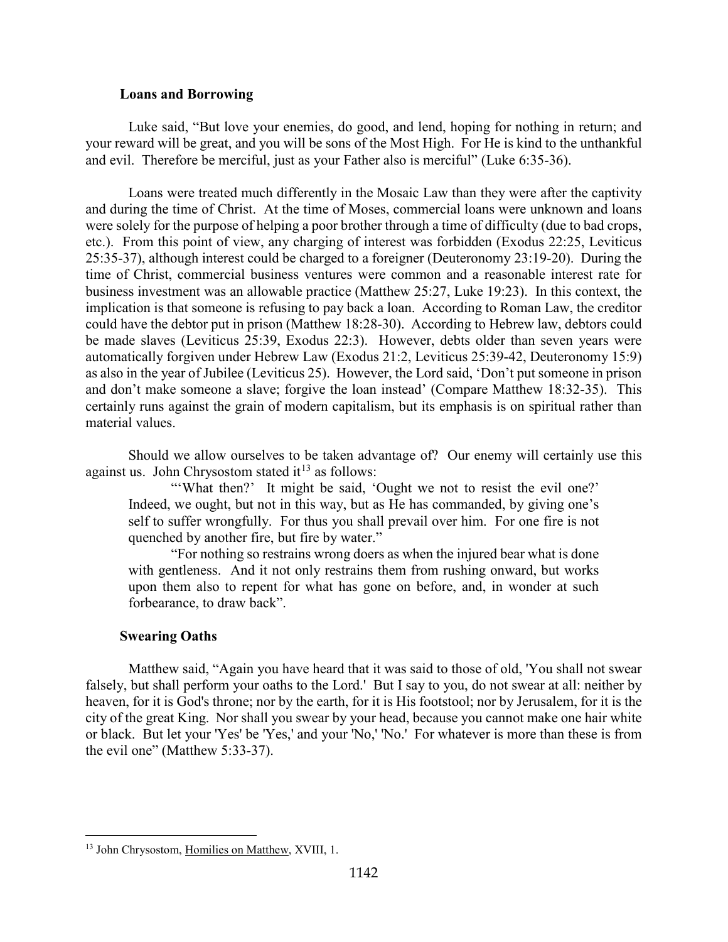#### **Loans and Borrowing**

<span id="page-12-0"></span>Luke said, "But love your enemies, do good, and lend, hoping for nothing in return; and your reward will be great, and you will be sons of the Most High. For He is kind to the unthankful and evil. Therefore be merciful, just as your Father also is merciful" (Luke 6:35-36).

Loans were treated much differently in the Mosaic Law than they were after the captivity and during the time of Christ. At the time of Moses, commercial loans were unknown and loans were solely for the purpose of helping a poor brother through a time of difficulty (due to bad crops, etc.). From this point of view, any charging of interest was forbidden (Exodus 22:25, Leviticus 25:35-37), although interest could be charged to a foreigner (Deuteronomy 23:19-20). During the time of Christ, commercial business ventures were common and a reasonable interest rate for business investment was an allowable practice (Matthew 25:27, Luke 19:23). In this context, the implication is that someone is refusing to pay back a loan. According to Roman Law, the creditor could have the debtor put in prison (Matthew 18:28-30). According to Hebrew law, debtors could be made slaves (Leviticus 25:39, Exodus 22:3). However, debts older than seven years were automatically forgiven under Hebrew Law (Exodus 21:2, Leviticus 25:39-42, Deuteronomy 15:9) as also in the year of Jubilee (Leviticus 25). However, the Lord said, 'Don't put someone in prison and don't make someone a slave; forgive the loan instead' (Compare Matthew 18:32-35). This certainly runs against the grain of modern capitalism, but its emphasis is on spiritual rather than material values.

Should we allow ourselves to be taken advantage of? Our enemy will certainly use this against us. John Chrysostom stated  $it^{13}$  $it^{13}$  $it^{13}$  as follows:

"'What then?' It might be said, 'Ought we not to resist the evil one?' Indeed, we ought, but not in this way, but as He has commanded, by giving one's self to suffer wrongfully. For thus you shall prevail over him. For one fire is not quenched by another fire, but fire by water."

"For nothing so restrains wrong doers as when the injured bear what is done with gentleness. And it not only restrains them from rushing onward, but works upon them also to repent for what has gone on before, and, in wonder at such forbearance, to draw back".

#### **Swearing Oaths**

 $\overline{a}$ 

<span id="page-12-1"></span>Matthew said, "Again you have heard that it was said to those of old, 'You shall not swear falsely, but shall perform your oaths to the Lord.' But I say to you, do not swear at all: neither by heaven, for it is God's throne; nor by the earth, for it is His footstool; nor by Jerusalem, for it is the city of the great King. Nor shall you swear by your head, because you cannot make one hair white or black. But let your 'Yes' be 'Yes,' and your 'No,' 'No.' For whatever is more than these is from the evil one" (Matthew 5:33-37).

<span id="page-12-2"></span><sup>&</sup>lt;sup>13</sup> John Chrysostom, Homilies on Matthew, XVIII, 1.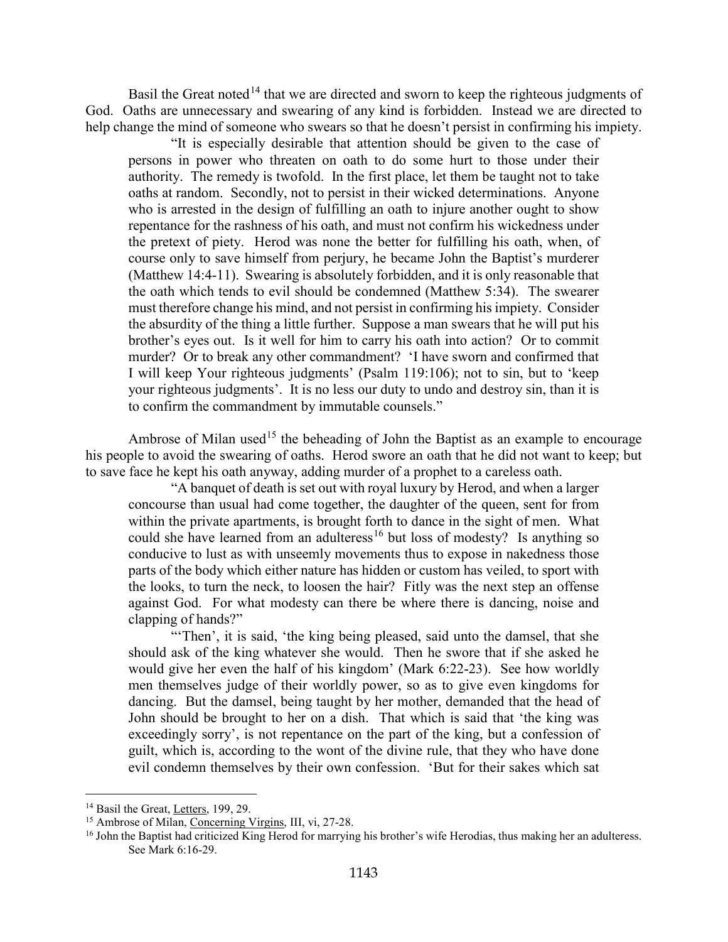Basil the Great noted<sup>[14](#page-13-0)</sup> that we are directed and sworn to keep the righteous judgments of God. Oaths are unnecessary and swearing of any kind is forbidden. Instead we are directed to help change the mind of someone who swears so that he doesn't persist in confirming his impiety.

"It is especially desirable that attention should be given to the case of persons in power who threaten on oath to do some hurt to those under their authority. The remedy is twofold. In the first place, let them be taught not to take oaths at random. Secondly, not to persist in their wicked determinations. Anyone who is arrested in the design of fulfilling an oath to injure another ought to show repentance for the rashness of his oath, and must not confirm his wickedness under the pretext of piety. Herod was none the better for fulfilling his oath, when, of course only to save himself from perjury, he became John the Baptist's murderer (Matthew 14:4-11). Swearing is absolutely forbidden, and it is only reasonable that the oath which tends to evil should be condemned (Matthew 5:34). The swearer must therefore change his mind, and not persist in confirming his impiety. Consider the absurdity of the thing a little further. Suppose a man swears that he will put his brother's eyes out. Is it well for him to carry his oath into action? Or to commit murder? Or to break any other commandment? 'I have sworn and confirmed that I will keep Your righteous judgments' (Psalm 119:106); not to sin, but to 'keep your righteous judgments'. It is no less our duty to undo and destroy sin, than it is to confirm the commandment by immutable counsels."

Ambrose of Milan used<sup>[15](#page-13-1)</sup> the beheading of John the Baptist as an example to encourage his people to avoid the swearing of oaths. Herod swore an oath that he did not want to keep; but to save face he kept his oath anyway, adding murder of a prophet to a careless oath.

"A banquet of death is set out with royal luxury by Herod, and when a larger concourse than usual had come together, the daughter of the queen, sent for from within the private apartments, is brought forth to dance in the sight of men. What could she have learned from an adulteress<sup>[16](#page-13-2)</sup> but loss of modesty? Is anything so conducive to lust as with unseemly movements thus to expose in nakedness those parts of the body which either nature has hidden or custom has veiled, to sport with the looks, to turn the neck, to loosen the hair? Fitly was the next step an offense against God. For what modesty can there be where there is dancing, noise and clapping of hands?"

"Then', it is said, 'the king being pleased, said unto the damsel, that she should ask of the king whatever she would. Then he swore that if she asked he would give her even the half of his kingdom' (Mark 6:22-23). See how worldly men themselves judge of their worldly power, so as to give even kingdoms for dancing. But the damsel, being taught by her mother, demanded that the head of John should be brought to her on a dish. That which is said that 'the king was exceedingly sorry', is not repentance on the part of the king, but a confession of guilt, which is, according to the wont of the divine rule, that they who have done evil condemn themselves by their own confession. 'But for their sakes which sat

<span id="page-13-0"></span><sup>&</sup>lt;sup>14</sup> Basil the Great, Letters, 199, 29.

<span id="page-13-1"></span><sup>&</sup>lt;sup>15</sup> Ambrose of Milan, Concerning Virgins, III, vi, 27-28.

<span id="page-13-2"></span><sup>&</sup>lt;sup>16</sup> John the Baptist had criticized King Herod for marrying his brother's wife Herodias, thus making her an adulteress. See Mark 6:16-29.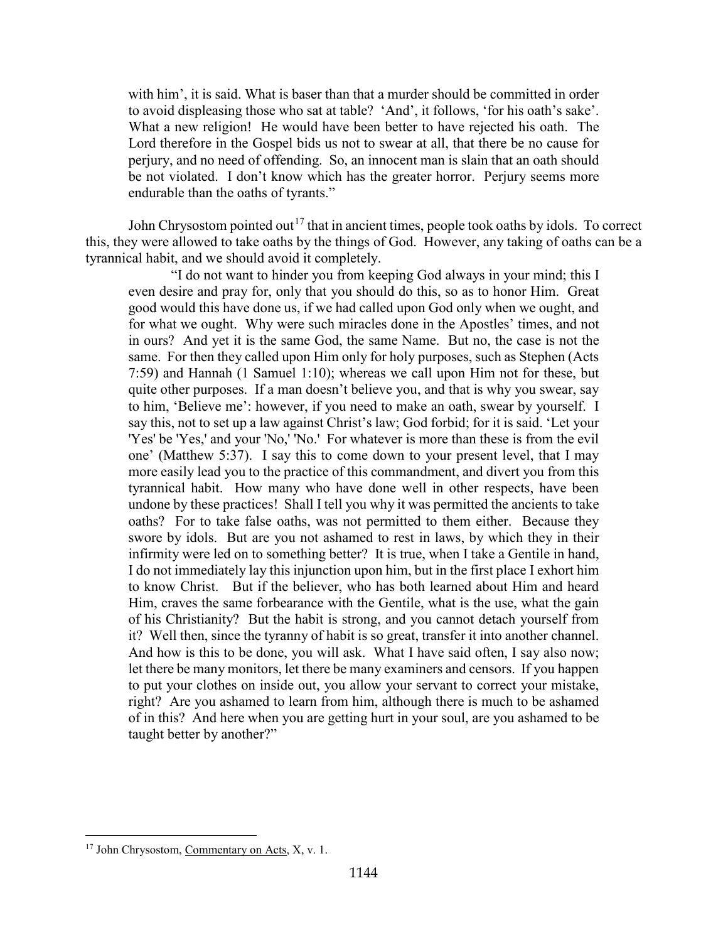with him', it is said. What is baser than that a murder should be committed in order to avoid displeasing those who sat at table? 'And', it follows, 'for his oath's sake'. What a new religion! He would have been better to have rejected his oath. The Lord therefore in the Gospel bids us not to swear at all, that there be no cause for perjury, and no need of offending. So, an innocent man is slain that an oath should be not violated. I don't know which has the greater horror. Perjury seems more endurable than the oaths of tyrants."

John Chrysostom pointed out<sup>[17](#page-14-0)</sup> that in ancient times, people took oaths by idols. To correct this, they were allowed to take oaths by the things of God. However, any taking of oaths can be a tyrannical habit, and we should avoid it completely.

"I do not want to hinder you from keeping God always in your mind; this I even desire and pray for, only that you should do this, so as to honor Him. Great good would this have done us, if we had called upon God only when we ought, and for what we ought. Why were such miracles done in the Apostles' times, and not in ours? And yet it is the same God, the same Name. But no, the case is not the same. For then they called upon Him only for holy purposes, such as Stephen (Acts 7:59) and Hannah (1 Samuel 1:10); whereas we call upon Him not for these, but quite other purposes. If a man doesn't believe you, and that is why you swear, say to him, 'Believe me': however, if you need to make an oath, swear by yourself. I say this, not to set up a law against Christ's law; God forbid; for it is said. 'Let your 'Yes' be 'Yes,' and your 'No,' 'No.' For whatever is more than these is from the evil one' (Matthew 5:37). I say this to come down to your present level, that I may more easily lead you to the practice of this commandment, and divert you from this tyrannical habit. How many who have done well in other respects, have been undone by these practices! Shall I tell you why it was permitted the ancients to take oaths? For to take false oaths, was not permitted to them either. Because they swore by idols. But are you not ashamed to rest in laws, by which they in their infirmity were led on to something better? It is true, when I take a Gentile in hand, I do not immediately lay this injunction upon him, but in the first place I exhort him to know Christ. But if the believer, who has both learned about Him and heard Him, craves the same forbearance with the Gentile, what is the use, what the gain of his Christianity? But the habit is strong, and you cannot detach yourself from it? Well then, since the tyranny of habit is so great, transfer it into another channel. And how is this to be done, you will ask. What I have said often, I say also now; let there be many monitors, let there be many examiners and censors. If you happen to put your clothes on inside out, you allow your servant to correct your mistake, right? Are you ashamed to learn from him, although there is much to be ashamed of in this? And here when you are getting hurt in your soul, are you ashamed to be taught better by another?"

<span id="page-14-0"></span><sup>&</sup>lt;sup>17</sup> John Chrysostom, Commentary on Acts, X, v. 1.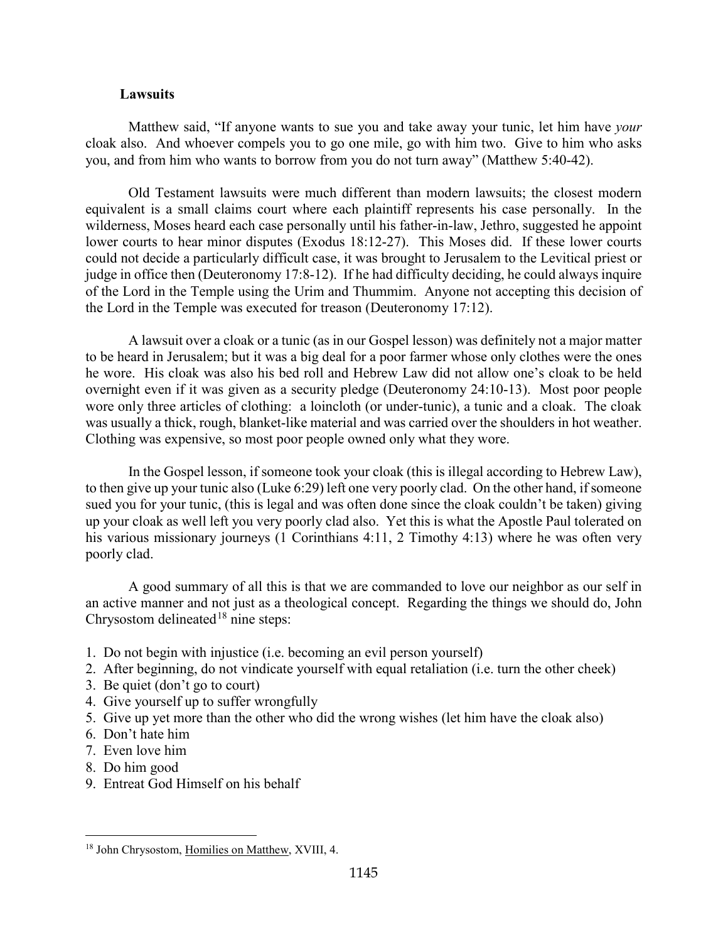## **Lawsuits**

<span id="page-15-0"></span>Matthew said, "If anyone wants to sue you and take away your tunic, let him have *your*  cloak also. And whoever compels you to go one mile, go with him two. Give to him who asks you, and from him who wants to borrow from you do not turn away" (Matthew 5:40-42).

Old Testament lawsuits were much different than modern lawsuits; the closest modern equivalent is a small claims court where each plaintiff represents his case personally. In the wilderness, Moses heard each case personally until his father-in-law, Jethro, suggested he appoint lower courts to hear minor disputes (Exodus 18:12-27). This Moses did. If these lower courts could not decide a particularly difficult case, it was brought to Jerusalem to the Levitical priest or judge in office then (Deuteronomy 17:8-12). If he had difficulty deciding, he could always inquire of the Lord in the Temple using the Urim and Thummim. Anyone not accepting this decision of the Lord in the Temple was executed for treason (Deuteronomy 17:12).

A lawsuit over a cloak or a tunic (as in our Gospel lesson) was definitely not a major matter to be heard in Jerusalem; but it was a big deal for a poor farmer whose only clothes were the ones he wore. His cloak was also his bed roll and Hebrew Law did not allow one's cloak to be held overnight even if it was given as a security pledge (Deuteronomy 24:10-13). Most poor people wore only three articles of clothing: a loincloth (or under-tunic), a tunic and a cloak. The cloak was usually a thick, rough, blanket-like material and was carried over the shoulders in hot weather. Clothing was expensive, so most poor people owned only what they wore.

In the Gospel lesson, if someone took your cloak (this is illegal according to Hebrew Law), to then give up your tunic also (Luke 6:29) left one very poorly clad. On the other hand, if someone sued you for your tunic, (this is legal and was often done since the cloak couldn't be taken) giving up your cloak as well left you very poorly clad also. Yet this is what the Apostle Paul tolerated on his various missionary journeys (1 Corinthians 4:11, 2 Timothy 4:13) where he was often very poorly clad.

A good summary of all this is that we are commanded to love our neighbor as our self in an active manner and not just as a theological concept. Regarding the things we should do, John Chrysostom delineated<sup>[18](#page-15-1)</sup> nine steps:

- 1. Do not begin with injustice (i.e. becoming an evil person yourself)
- 2. After beginning, do not vindicate yourself with equal retaliation (i.e. turn the other cheek)
- 3. Be quiet (don't go to court)
- 4. Give yourself up to suffer wrongfully
- 5. Give up yet more than the other who did the wrong wishes (let him have the cloak also)
- 6. Don't hate him
- 7. Even love him
- 8. Do him good

 $\overline{a}$ 

9. Entreat God Himself on his behalf

<span id="page-15-1"></span><sup>&</sup>lt;sup>18</sup> John Chrysostom, Homilies on Matthew, XVIII, 4.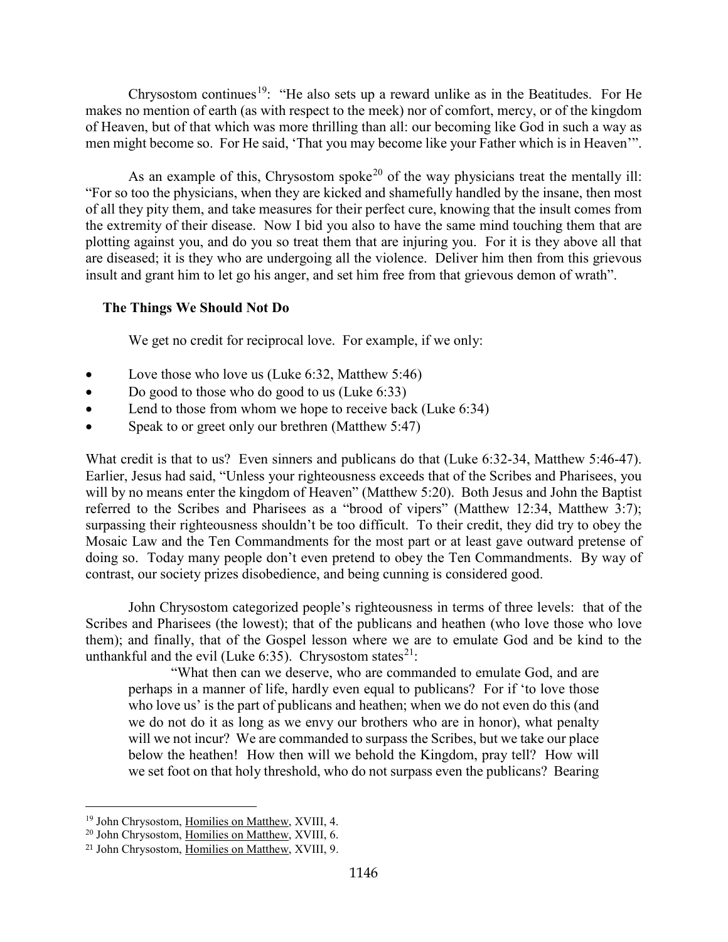Chrysostom continues<sup>19</sup>: "He also sets up a reward unlike as in the Beatitudes. For He makes no mention of earth (as with respect to the meek) nor of comfort, mercy, or of the kingdom of Heaven, but of that which was more thrilling than all: our becoming like God in such a way as men might become so. For He said, 'That you may become like your Father which is in Heaven'".

As an example of this, Chrysostom spoke<sup>[20](#page-16-2)</sup> of the way physicians treat the mentally ill: "For so too the physicians, when they are kicked and shamefully handled by the insane, then most of all they pity them, and take measures for their perfect cure, knowing that the insult comes from the extremity of their disease. Now I bid you also to have the same mind touching them that are plotting against you, and do you so treat them that are injuring you. For it is they above all that are diseased; it is they who are undergoing all the violence. Deliver him then from this grievous insult and grant him to let go his anger, and set him free from that grievous demon of wrath".

# <span id="page-16-0"></span>**The Things We Should Not Do**

We get no credit for reciprocal love. For example, if we only:

- Love those who love us (Luke 6:32, Matthew 5:46)
- Do good to those who do good to us (Luke 6:33)
- Lend to those from whom we hope to receive back (Luke 6:34)
- Speak to or greet only our brethren (Matthew 5:47)

What credit is that to us? Even sinners and publicans do that (Luke 6:32-34, Matthew 5:46-47). Earlier, Jesus had said, "Unless your righteousness exceeds that of the Scribes and Pharisees, you will by no means enter the kingdom of Heaven" (Matthew 5:20). Both Jesus and John the Baptist referred to the Scribes and Pharisees as a "brood of vipers" (Matthew 12:34, Matthew 3:7); surpassing their righteousness shouldn't be too difficult. To their credit, they did try to obey the Mosaic Law and the Ten Commandments for the most part or at least gave outward pretense of doing so. Today many people don't even pretend to obey the Ten Commandments. By way of contrast, our society prizes disobedience, and being cunning is considered good.

John Chrysostom categorized people's righteousness in terms of three levels: that of the Scribes and Pharisees (the lowest); that of the publicans and heathen (who love those who love them); and finally, that of the Gospel lesson where we are to emulate God and be kind to the unthankful and the evil (Luke 6:35). Chrysostom states<sup>[21](#page-16-3)</sup>:

"What then can we deserve, who are commanded to emulate God, and are perhaps in a manner of life, hardly even equal to publicans? For if 'to love those who love us' is the part of publicans and heathen; when we do not even do this (and we do not do it as long as we envy our brothers who are in honor), what penalty will we not incur? We are commanded to surpass the Scribes, but we take our place below the heathen! How then will we behold the Kingdom, pray tell? How will we set foot on that holy threshold, who do not surpass even the publicans? Bearing

<span id="page-16-1"></span><sup>&</sup>lt;sup>19</sup> John Chrysostom, Homilies on Matthew, XVIII, 4.

<span id="page-16-2"></span><sup>20</sup> John Chrysostom, Homilies on Matthew, XVIII, 6.

<span id="page-16-3"></span><sup>21</sup> John Chrysostom, Homilies on Matthew, XVIII, 9.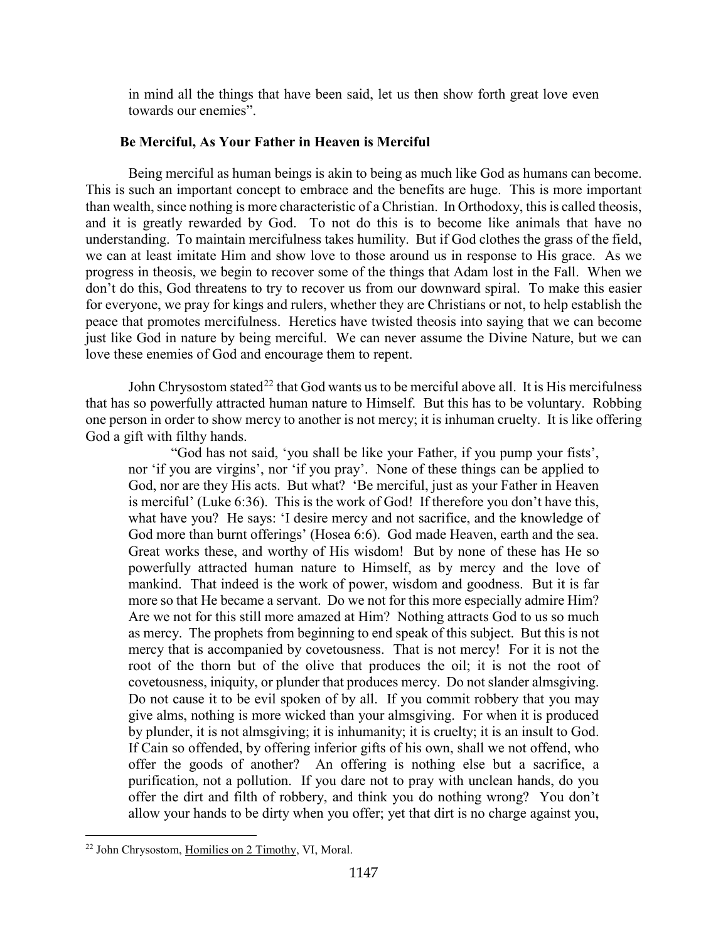in mind all the things that have been said, let us then show forth great love even towards our enemies".

## **Be Merciful, As Your Father in Heaven is Merciful**

<span id="page-17-0"></span>Being merciful as human beings is akin to being as much like God as humans can become. This is such an important concept to embrace and the benefits are huge. This is more important than wealth, since nothing is more characteristic of a Christian. In Orthodoxy, this is called theosis, and it is greatly rewarded by God. To not do this is to become like animals that have no understanding. To maintain mercifulness takes humility. But if God clothes the grass of the field, we can at least imitate Him and show love to those around us in response to His grace. As we progress in theosis, we begin to recover some of the things that Adam lost in the Fall. When we don't do this, God threatens to try to recover us from our downward spiral. To make this easier for everyone, we pray for kings and rulers, whether they are Christians or not, to help establish the peace that promotes mercifulness. Heretics have twisted theosis into saying that we can become just like God in nature by being merciful. We can never assume the Divine Nature, but we can love these enemies of God and encourage them to repent.

John Chrysostom stated<sup>[22](#page-17-1)</sup> that God wants us to be merciful above all. It is His mercifulness that has so powerfully attracted human nature to Himself. But this has to be voluntary. Robbing one person in order to show mercy to another is not mercy; it is inhuman cruelty. It is like offering God a gift with filthy hands.

"God has not said, 'you shall be like your Father, if you pump your fists', nor 'if you are virgins', nor 'if you pray'. None of these things can be applied to God, nor are they His acts. But what? 'Be merciful, just as your Father in Heaven is merciful' (Luke 6:36). This is the work of God! If therefore you don't have this, what have you? He says: 'I desire mercy and not sacrifice, and the knowledge of God more than burnt offerings' (Hosea 6:6). God made Heaven, earth and the sea. Great works these, and worthy of His wisdom! But by none of these has He so powerfully attracted human nature to Himself, as by mercy and the love of mankind. That indeed is the work of power, wisdom and goodness. But it is far more so that He became a servant. Do we not for this more especially admire Him? Are we not for this still more amazed at Him? Nothing attracts God to us so much as mercy. The prophets from beginning to end speak of this subject. But this is not mercy that is accompanied by covetousness. That is not mercy! For it is not the root of the thorn but of the olive that produces the oil; it is not the root of covetousness, iniquity, or plunder that produces mercy. Do not slander almsgiving. Do not cause it to be evil spoken of by all. If you commit robbery that you may give alms, nothing is more wicked than your almsgiving. For when it is produced by plunder, it is not almsgiving; it is inhumanity; it is cruelty; it is an insult to God. If Cain so offended, by offering inferior gifts of his own, shall we not offend, who offer the goods of another? An offering is nothing else but a sacrifice, a purification, not a pollution. If you dare not to pray with unclean hands, do you offer the dirt and filth of robbery, and think you do nothing wrong? You don't allow your hands to be dirty when you offer; yet that dirt is no charge against you,

<span id="page-17-1"></span><sup>22</sup> John Chrysostom, Homilies on 2 Timothy, VI, Moral.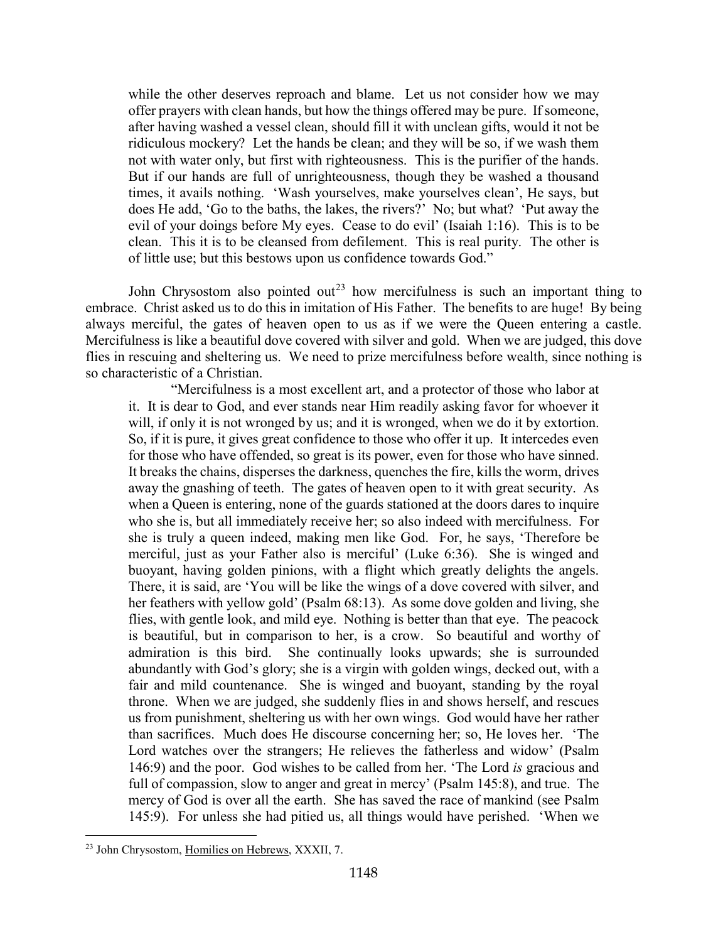while the other deserves reproach and blame. Let us not consider how we may offer prayers with clean hands, but how the things offered may be pure. If someone, after having washed a vessel clean, should fill it with unclean gifts, would it not be ridiculous mockery? Let the hands be clean; and they will be so, if we wash them not with water only, but first with righteousness. This is the purifier of the hands. But if our hands are full of unrighteousness, though they be washed a thousand times, it avails nothing. 'Wash yourselves, make yourselves clean', He says, but does He add, 'Go to the baths, the lakes, the rivers?' No; but what? 'Put away the evil of your doings before My eyes. Cease to do evil' (Isaiah 1:16). This is to be clean. This it is to be cleansed from defilement. This is real purity. The other is of little use; but this bestows upon us confidence towards God."

John Chrysostom also pointed out<sup>[23](#page-18-0)</sup> how mercifulness is such an important thing to embrace. Christ asked us to do this in imitation of His Father. The benefits to are huge! By being always merciful, the gates of heaven open to us as if we were the Queen entering a castle. Mercifulness is like a beautiful dove covered with silver and gold. When we are judged, this dove flies in rescuing and sheltering us. We need to prize mercifulness before wealth, since nothing is so characteristic of a Christian.

"Mercifulness is a most excellent art, and a protector of those who labor at it. It is dear to God, and ever stands near Him readily asking favor for whoever it will, if only it is not wronged by us; and it is wronged, when we do it by extortion. So, if it is pure, it gives great confidence to those who offer it up. It intercedes even for those who have offended, so great is its power, even for those who have sinned. It breaks the chains, disperses the darkness, quenches the fire, kills the worm, drives away the gnashing of teeth. The gates of heaven open to it with great security. As when a Queen is entering, none of the guards stationed at the doors dares to inquire who she is, but all immediately receive her; so also indeed with mercifulness. For she is truly a queen indeed, making men like God. For, he says, 'Therefore be merciful, just as your Father also is merciful' (Luke 6:36). She is winged and buoyant, having golden pinions, with a flight which greatly delights the angels. There, it is said, are 'You will be like the wings of a dove covered with silver, and her feathers with yellow gold' (Psalm 68:13). As some dove golden and living, she flies, with gentle look, and mild eye. Nothing is better than that eye. The peacock is beautiful, but in comparison to her, is a crow. So beautiful and worthy of admiration is this bird. She continually looks upwards; she is surrounded abundantly with God's glory; she is a virgin with golden wings, decked out, with a fair and mild countenance. She is winged and buoyant, standing by the royal throne. When we are judged, she suddenly flies in and shows herself, and rescues us from punishment, sheltering us with her own wings. God would have her rather than sacrifices. Much does He discourse concerning her; so, He loves her. 'The Lord watches over the strangers; He relieves the fatherless and widow' (Psalm 146:9) and the poor. God wishes to be called from her. 'The Lord *is* gracious and full of compassion, slow to anger and great in mercy' (Psalm 145:8), and true. The mercy of God is over all the earth. She has saved the race of mankind (see Psalm 145:9). For unless she had pitied us, all things would have perished. 'When we

<span id="page-18-0"></span><sup>23</sup> John Chrysostom, Homilies on Hebrews, XXXII, 7.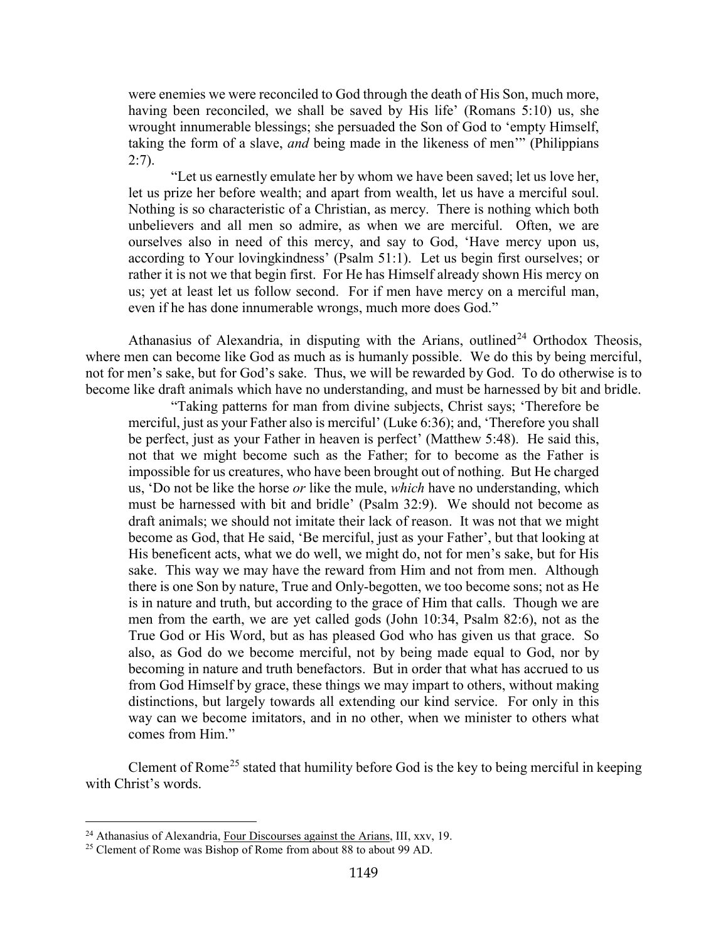were enemies we were reconciled to God through the death of His Son, much more, having been reconciled, we shall be saved by His life' (Romans 5:10) us, she wrought innumerable blessings; she persuaded the Son of God to 'empty Himself, taking the form of a slave, *and* being made in the likeness of men'" (Philippians  $2:7$ ).

"Let us earnestly emulate her by whom we have been saved; let us love her, let us prize her before wealth; and apart from wealth, let us have a merciful soul. Nothing is so characteristic of a Christian, as mercy. There is nothing which both unbelievers and all men so admire, as when we are merciful. Often, we are ourselves also in need of this mercy, and say to God, 'Have mercy upon us, according to Your lovingkindness' (Psalm 51:1). Let us begin first ourselves; or rather it is not we that begin first. For He has Himself already shown His mercy on us; yet at least let us follow second. For if men have mercy on a merciful man, even if he has done innumerable wrongs, much more does God."

Athanasius of Alexandria, in disputing with the Arians, outlined<sup>[24](#page-19-0)</sup> Orthodox Theosis, where men can become like God as much as is humanly possible. We do this by being merciful, not for men's sake, but for God's sake. Thus, we will be rewarded by God. To do otherwise is to become like draft animals which have no understanding, and must be harnessed by bit and bridle.

"Taking patterns for man from divine subjects, Christ says; 'Therefore be merciful, just as your Father also is merciful' (Luke 6:36); and, 'Therefore you shall be perfect, just as your Father in heaven is perfect' (Matthew 5:48). He said this, not that we might become such as the Father; for to become as the Father is impossible for us creatures, who have been brought out of nothing. But He charged us, 'Do not be like the horse *or* like the mule, *which* have no understanding, which must be harnessed with bit and bridle' (Psalm 32:9). We should not become as draft animals; we should not imitate their lack of reason. It was not that we might become as God, that He said, 'Be merciful, just as your Father', but that looking at His beneficent acts, what we do well, we might do, not for men's sake, but for His sake. This way we may have the reward from Him and not from men. Although there is one Son by nature, True and Only-begotten, we too become sons; not as He is in nature and truth, but according to the grace of Him that calls. Though we are men from the earth, we are yet called gods (John 10:34, Psalm 82:6), not as the True God or His Word, but as has pleased God who has given us that grace. So also, as God do we become merciful, not by being made equal to God, nor by becoming in nature and truth benefactors. But in order that what has accrued to us from God Himself by grace, these things we may impart to others, without making distinctions, but largely towards all extending our kind service. For only in this way can we become imitators, and in no other, when we minister to others what comes from Him."

Clement of Rome<sup>[25](#page-19-1)</sup> stated that humility before God is the key to being merciful in keeping with Christ's words.

<span id="page-19-0"></span><sup>&</sup>lt;sup>24</sup> Athanasius of Alexandria, Four Discourses against the Arians, III, xxv, 19.

<span id="page-19-1"></span><sup>&</sup>lt;sup>25</sup> Clement of Rome was Bishop of Rome from about 88 to about 99 AD.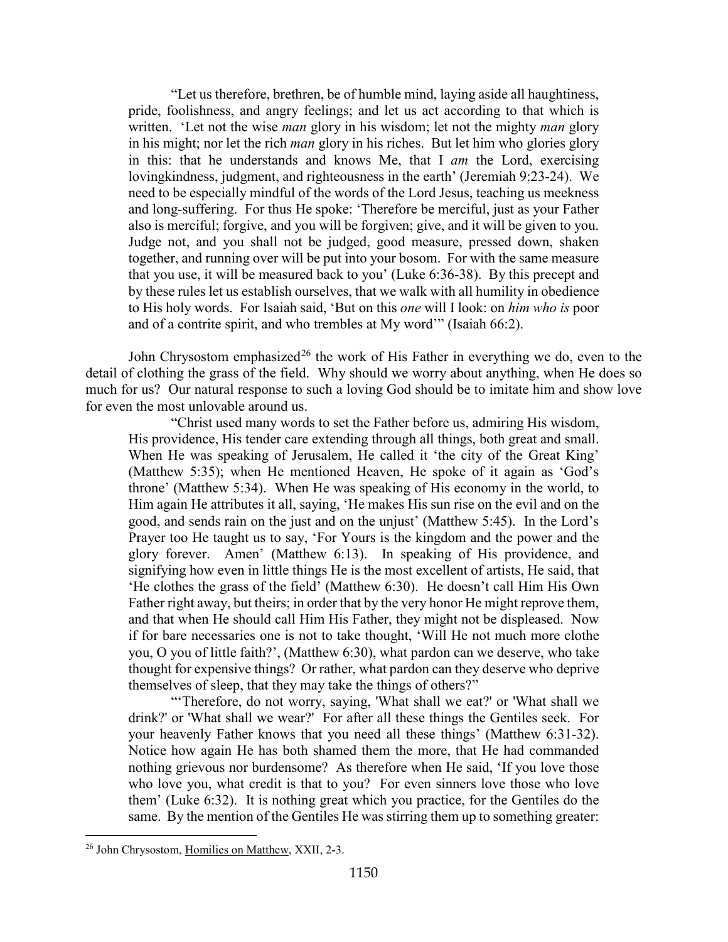"Let us therefore, brethren, be of humble mind, laying aside all haughtiness, pride, foolishness, and angry feelings; and let us act according to that which is written. 'Let not the wise *man* glory in his wisdom; let not the mighty *man* glory in his might; nor let the rich *man* glory in his riches. But let him who glories glory in this: that he understands and knows Me, that I *am* the Lord, exercising lovingkindness, judgment, and righteousness in the earth' (Jeremiah 9:23-24). We need to be especially mindful of the words of the Lord Jesus, teaching us meekness and long-suffering. For thus He spoke: 'Therefore be merciful, just as your Father also is merciful; forgive, and you will be forgiven; give, and it will be given to you. Judge not, and you shall not be judged, good measure, pressed down, shaken together, and running over will be put into your bosom. For with the same measure that you use, it will be measured back to you' (Luke 6:36-38). By this precept and by these rules let us establish ourselves, that we walk with all humility in obedience to His holy words. For Isaiah said, 'But on this *one* will I look: on *him who is* poor and of a contrite spirit, and who trembles at My word'" (Isaiah 66:2).

John Chrysostom emphasized<sup>[26](#page-20-0)</sup> the work of His Father in everything we do, even to the detail of clothing the grass of the field. Why should we worry about anything, when He does so much for us? Our natural response to such a loving God should be to imitate him and show love for even the most unlovable around us.

"Christ used many words to set the Father before us, admiring His wisdom, His providence, His tender care extending through all things, both great and small. When He was speaking of Jerusalem, He called it 'the city of the Great King' (Matthew 5:35); when He mentioned Heaven, He spoke of it again as 'God's throne' (Matthew 5:34). When He was speaking of His economy in the world, to Him again He attributes it all, saying, 'He makes His sun rise on the evil and on the good, and sends rain on the just and on the unjust' (Matthew 5:45). In the Lord's Prayer too He taught us to say, 'For Yours is the kingdom and the power and the glory forever. Amen' (Matthew 6:13). In speaking of His providence, and signifying how even in little things He is the most excellent of artists, He said, that 'He clothes the grass of the field' (Matthew 6:30). He doesn't call Him His Own Father right away, but theirs; in order that by the very honor He might reprove them, and that when He should call Him His Father, they might not be displeased. Now if for bare necessaries one is not to take thought, 'Will He not much more clothe you, O you of little faith?', (Matthew 6:30), what pardon can we deserve, who take thought for expensive things? Or rather, what pardon can they deserve who deprive themselves of sleep, that they may take the things of others?"

"'Therefore, do not worry, saying, 'What shall we eat?' or 'What shall we drink?' or 'What shall we wear?' For after all these things the Gentiles seek. For your heavenly Father knows that you need all these things' (Matthew 6:31-32). Notice how again He has both shamed them the more, that He had commanded nothing grievous nor burdensome? As therefore when He said, 'If you love those who love you, what credit is that to you? For even sinners love those who love them' (Luke 6:32). It is nothing great which you practice, for the Gentiles do the same. By the mention of the Gentiles He was stirring them up to something greater:

<span id="page-20-0"></span><sup>26</sup> John Chrysostom, Homilies on Matthew, XXII, 2-3.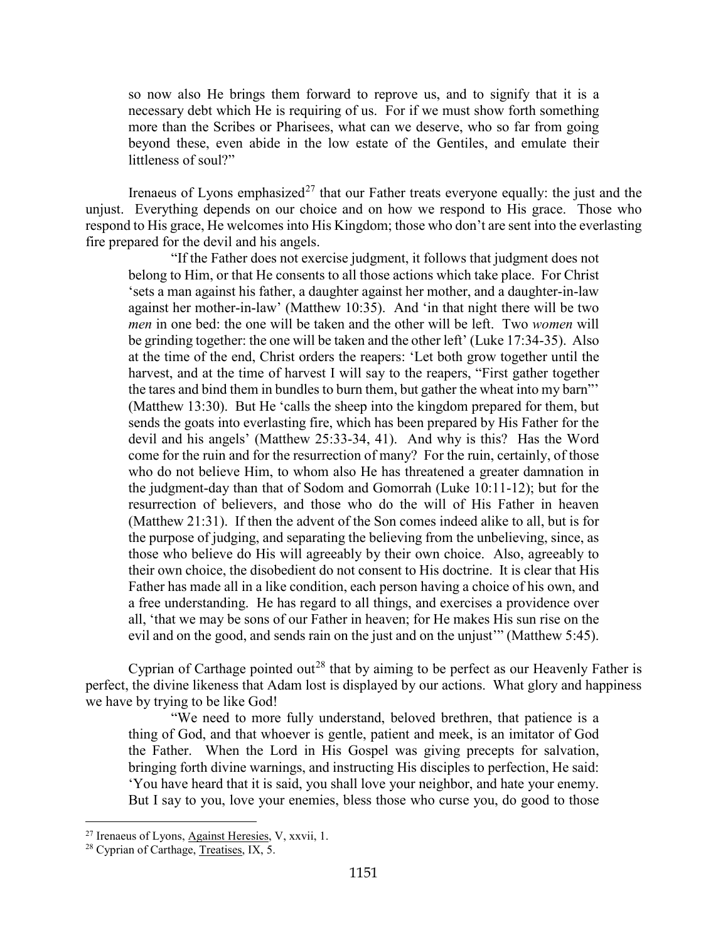so now also He brings them forward to reprove us, and to signify that it is a necessary debt which He is requiring of us. For if we must show forth something more than the Scribes or Pharisees, what can we deserve, who so far from going beyond these, even abide in the low estate of the Gentiles, and emulate their littleness of soul?"

Irenaeus of Lyons emphasized<sup>[27](#page-21-0)</sup> that our Father treats everyone equally: the just and the unjust. Everything depends on our choice and on how we respond to His grace. Those who respond to His grace, He welcomes into His Kingdom; those who don't are sent into the everlasting fire prepared for the devil and his angels.

"If the Father does not exercise judgment, it follows that judgment does not belong to Him, or that He consents to all those actions which take place. For Christ 'sets a man against his father, a daughter against her mother, and a daughter-in-law against her mother-in-law' (Matthew 10:35). And 'in that night there will be two *men* in one bed: the one will be taken and the other will be left. Two *women* will be grinding together: the one will be taken and the other left' (Luke 17:34-35). Also at the time of the end, Christ orders the reapers: 'Let both grow together until the harvest, and at the time of harvest I will say to the reapers, "First gather together the tares and bind them in bundles to burn them, but gather the wheat into my barn"' (Matthew 13:30). But He 'calls the sheep into the kingdom prepared for them, but sends the goats into everlasting fire, which has been prepared by His Father for the devil and his angels' (Matthew 25:33-34, 41). And why is this? Has the Word come for the ruin and for the resurrection of many? For the ruin, certainly, of those who do not believe Him, to whom also He has threatened a greater damnation in the judgment-day than that of Sodom and Gomorrah (Luke 10:11-12); but for the resurrection of believers, and those who do the will of His Father in heaven (Matthew 21:31). If then the advent of the Son comes indeed alike to all, but is for the purpose of judging, and separating the believing from the unbelieving, since, as those who believe do His will agreeably by their own choice. Also, agreeably to their own choice, the disobedient do not consent to His doctrine. It is clear that His Father has made all in a like condition, each person having a choice of his own, and a free understanding. He has regard to all things, and exercises a providence over all, 'that we may be sons of our Father in heaven; for He makes His sun rise on the evil and on the good, and sends rain on the just and on the unjust'" (Matthew 5:45).

Cyprian of Carthage pointed out<sup>[28](#page-21-1)</sup> that by aiming to be perfect as our Heavenly Father is perfect, the divine likeness that Adam lost is displayed by our actions. What glory and happiness we have by trying to be like God!

"We need to more fully understand, beloved brethren, that patience is a thing of God, and that whoever is gentle, patient and meek, is an imitator of God the Father. When the Lord in His Gospel was giving precepts for salvation, bringing forth divine warnings, and instructing His disciples to perfection, He said: 'You have heard that it is said, you shall love your neighbor, and hate your enemy. But I say to you, love your enemies, bless those who curse you, do good to those

<span id="page-21-0"></span><sup>27</sup> Irenaeus of Lyons, Against Heresies, V, xxvii, 1.

<span id="page-21-1"></span><sup>&</sup>lt;sup>28</sup> Cyprian of Carthage, Treatises, IX, 5.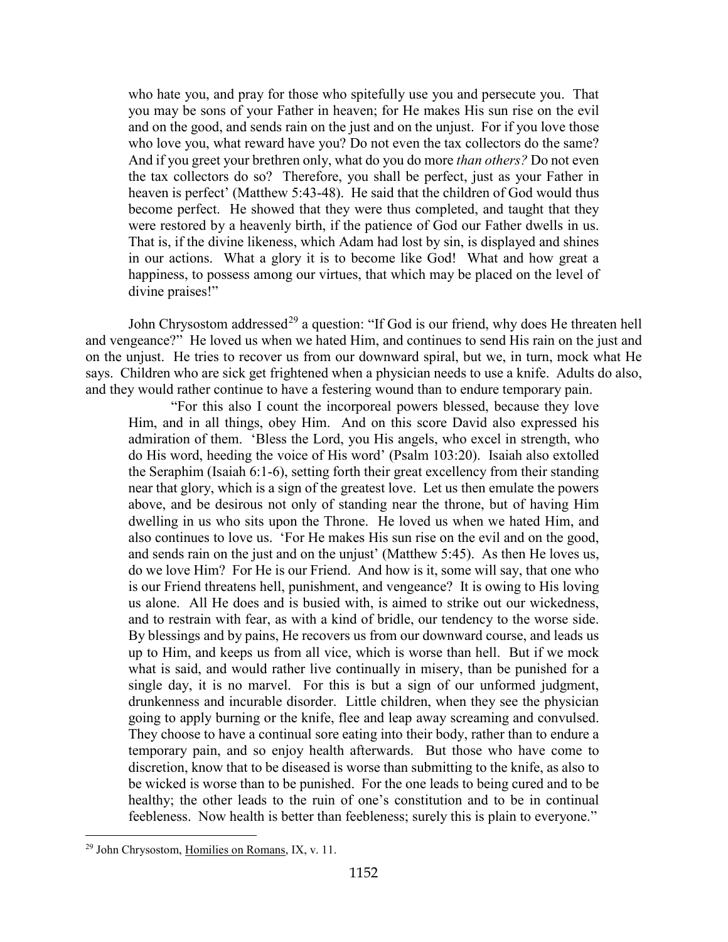who hate you, and pray for those who spitefully use you and persecute you. That you may be sons of your Father in heaven; for He makes His sun rise on the evil and on the good, and sends rain on the just and on the unjust. For if you love those who love you, what reward have you? Do not even the tax collectors do the same? And if you greet your brethren only, what do you do more *than others?* Do not even the tax collectors do so? Therefore, you shall be perfect, just as your Father in heaven is perfect' (Matthew 5:43-48). He said that the children of God would thus become perfect. He showed that they were thus completed, and taught that they were restored by a heavenly birth, if the patience of God our Father dwells in us. That is, if the divine likeness, which Adam had lost by sin, is displayed and shines in our actions. What a glory it is to become like God! What and how great a happiness, to possess among our virtues, that which may be placed on the level of divine praises!"

John Chrysostom addressed<sup>[29](#page-22-0)</sup> a question: "If God is our friend, why does He threaten hell and vengeance?" He loved us when we hated Him, and continues to send His rain on the just and on the unjust. He tries to recover us from our downward spiral, but we, in turn, mock what He says. Children who are sick get frightened when a physician needs to use a knife. Adults do also, and they would rather continue to have a festering wound than to endure temporary pain.

"For this also I count the incorporeal powers blessed, because they love Him, and in all things, obey Him. And on this score David also expressed his admiration of them. 'Bless the Lord, you His angels, who excel in strength, who do His word, heeding the voice of His word' (Psalm 103:20). Isaiah also extolled the Seraphim (Isaiah 6:1-6), setting forth their great excellency from their standing near that glory, which is a sign of the greatest love. Let us then emulate the powers above, and be desirous not only of standing near the throne, but of having Him dwelling in us who sits upon the Throne. He loved us when we hated Him, and also continues to love us. 'For He makes His sun rise on the evil and on the good, and sends rain on the just and on the unjust' (Matthew 5:45). As then He loves us, do we love Him? For He is our Friend. And how is it, some will say, that one who is our Friend threatens hell, punishment, and vengeance? It is owing to His loving us alone. All He does and is busied with, is aimed to strike out our wickedness, and to restrain with fear, as with a kind of bridle, our tendency to the worse side. By blessings and by pains, He recovers us from our downward course, and leads us up to Him, and keeps us from all vice, which is worse than hell. But if we mock what is said, and would rather live continually in misery, than be punished for a single day, it is no marvel. For this is but a sign of our unformed judgment, drunkenness and incurable disorder. Little children, when they see the physician going to apply burning or the knife, flee and leap away screaming and convulsed. They choose to have a continual sore eating into their body, rather than to endure a temporary pain, and so enjoy health afterwards. But those who have come to discretion, know that to be diseased is worse than submitting to the knife, as also to be wicked is worse than to be punished. For the one leads to being cured and to be healthy; the other leads to the ruin of one's constitution and to be in continual feebleness. Now health is better than feebleness; surely this is plain to everyone."

<span id="page-22-0"></span><sup>29</sup> John Chrysostom, Homilies on Romans, IX, v. 11.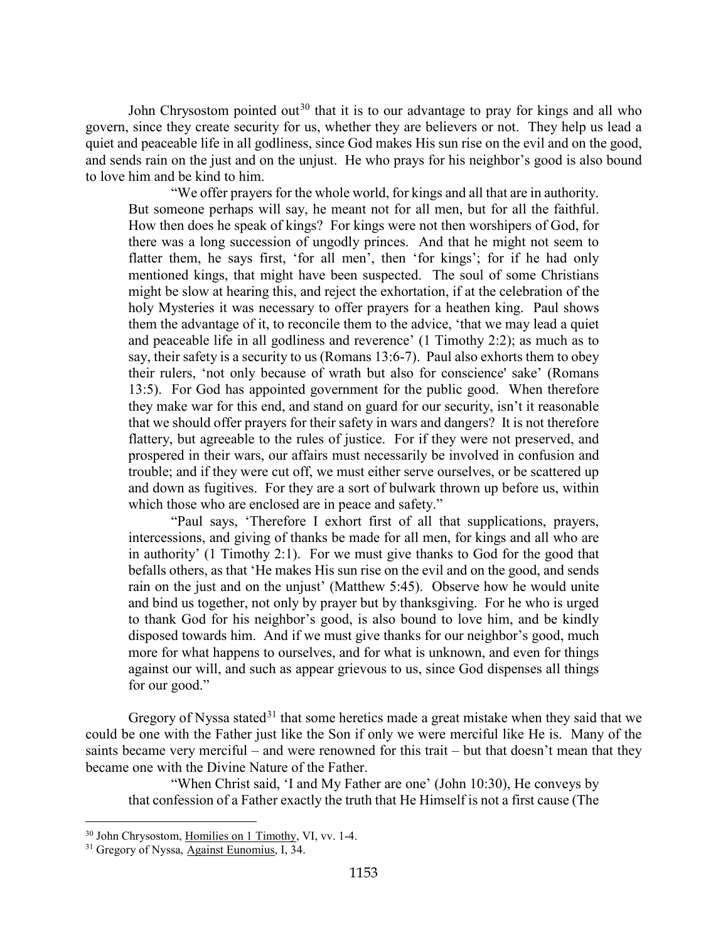John Chrysostom pointed out<sup>[30](#page-23-0)</sup> that it is to our advantage to pray for kings and all who govern, since they create security for us, whether they are believers or not. They help us lead a quiet and peaceable life in all godliness, since God makes His sun rise on the evil and on the good, and sends rain on the just and on the unjust. He who prays for his neighbor's good is also bound to love him and be kind to him.

"We offer prayers for the whole world, for kings and all that are in authority. But someone perhaps will say, he meant not for all men, but for all the faithful. How then does he speak of kings? For kings were not then worshipers of God, for there was a long succession of ungodly princes. And that he might not seem to flatter them, he says first, 'for all men', then 'for kings'; for if he had only mentioned kings, that might have been suspected. The soul of some Christians might be slow at hearing this, and reject the exhortation, if at the celebration of the holy Mysteries it was necessary to offer prayers for a heathen king. Paul shows them the advantage of it, to reconcile them to the advice, 'that we may lead a quiet and peaceable life in all godliness and reverence' (1 Timothy 2:2); as much as to say, their safety is a security to us (Romans 13:6-7). Paul also exhorts them to obey their rulers, 'not only because of wrath but also for conscience' sake' (Romans 13:5). For God has appointed government for the public good. When therefore they make war for this end, and stand on guard for our security, isn't it reasonable that we should offer prayers for their safety in wars and dangers? It is not therefore flattery, but agreeable to the rules of justice. For if they were not preserved, and prospered in their wars, our affairs must necessarily be involved in confusion and trouble; and if they were cut off, we must either serve ourselves, or be scattered up and down as fugitives. For they are a sort of bulwark thrown up before us, within which those who are enclosed are in peace and safety."

"Paul says, 'Therefore I exhort first of all that supplications, prayers, intercessions, and giving of thanks be made for all men, for kings and all who are in authority' (1 Timothy 2:1). For we must give thanks to God for the good that befalls others, as that 'He makes His sun rise on the evil and on the good, and sends rain on the just and on the unjust' (Matthew 5:45). Observe how he would unite and bind us together, not only by prayer but by thanksgiving. For he who is urged to thank God for his neighbor's good, is also bound to love him, and be kindly disposed towards him. And if we must give thanks for our neighbor's good, much more for what happens to ourselves, and for what is unknown, and even for things against our will, and such as appear grievous to us, since God dispenses all things for our good."

Gregory of Nyssa stated<sup>[31](#page-23-1)</sup> that some heretics made a great mistake when they said that we could be one with the Father just like the Son if only we were merciful like He is. Many of the saints became very merciful – and were renowned for this trait – but that doesn't mean that they became one with the Divine Nature of the Father.

"When Christ said, 'I and My Father are one' (John 10:30), He conveys by that confession of a Father exactly the truth that He Himself is not a first cause (The

<span id="page-23-0"></span><sup>&</sup>lt;sup>30</sup> John Chrysostom, Homilies on 1 Timothy, VI, vv. 1-4.

<span id="page-23-1"></span><sup>&</sup>lt;sup>31</sup> Gregory of Nyssa, Against Eunomius, I, 34.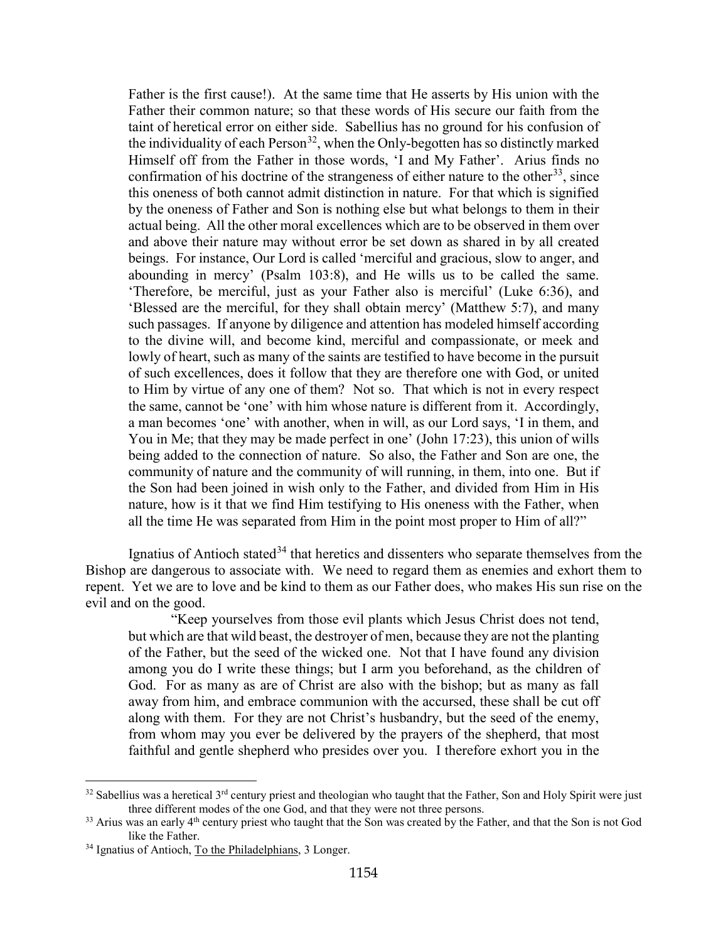Father is the first cause!). At the same time that He asserts by His union with the Father their common nature; so that these words of His secure our faith from the taint of heretical error on either side. Sabellius has no ground for his confusion of the individuality of each Person<sup>32</sup>, when the Only-begotten has so distinctly marked Himself off from the Father in those words, 'I and My Father'. Arius finds no confirmation of his doctrine of the strangeness of either nature to the other<sup>33</sup>, since this oneness of both cannot admit distinction in nature. For that which is signified by the oneness of Father and Son is nothing else but what belongs to them in their actual being. All the other moral excellences which are to be observed in them over and above their nature may without error be set down as shared in by all created beings. For instance, Our Lord is called 'merciful and gracious, slow to anger, and abounding in mercy' (Psalm 103:8), and He wills us to be called the same. 'Therefore, be merciful, just as your Father also is merciful' (Luke 6:36), and 'Blessed are the merciful, for they shall obtain mercy' (Matthew 5:7), and many such passages. If anyone by diligence and attention has modeled himself according to the divine will, and become kind, merciful and compassionate, or meek and lowly of heart, such as many of the saints are testified to have become in the pursuit of such excellences, does it follow that they are therefore one with God, or united to Him by virtue of any one of them? Not so. That which is not in every respect the same, cannot be 'one' with him whose nature is different from it. Accordingly, a man becomes 'one' with another, when in will, as our Lord says, 'I in them, and You in Me; that they may be made perfect in one' (John 17:23), this union of wills being added to the connection of nature. So also, the Father and Son are one, the community of nature and the community of will running, in them, into one. But if the Son had been joined in wish only to the Father, and divided from Him in His nature, how is it that we find Him testifying to His oneness with the Father, when all the time He was separated from Him in the point most proper to Him of all?"

Ignatius of Antioch stated<sup>[34](#page-24-2)</sup> that heretics and dissenters who separate themselves from the Bishop are dangerous to associate with. We need to regard them as enemies and exhort them to repent. Yet we are to love and be kind to them as our Father does, who makes His sun rise on the evil and on the good.

"Keep yourselves from those evil plants which Jesus Christ does not tend, but which are that wild beast, the destroyer of men, because they are not the planting of the Father, but the seed of the wicked one. Not that I have found any division among you do I write these things; but I arm you beforehand, as the children of God. For as many as are of Christ are also with the bishop; but as many as fall away from him, and embrace communion with the accursed, these shall be cut off along with them. For they are not Christ's husbandry, but the seed of the enemy, from whom may you ever be delivered by the prayers of the shepherd, that most faithful and gentle shepherd who presides over you. I therefore exhort you in the

<span id="page-24-0"></span> $32$  Sabellius was a heretical  $3<sup>rd</sup>$  century priest and theologian who taught that the Father, Son and Holy Spirit were just three different modes of the one God, and that they were not three persons.<br><sup>33</sup> Arius was an early 4<sup>th</sup> century priest who taught that the Son was created by the Father, and that the Son is not God

<span id="page-24-1"></span>like the Father.

<span id="page-24-2"></span><sup>&</sup>lt;sup>34</sup> Ignatius of Antioch, To the Philadelphians, 3 Longer.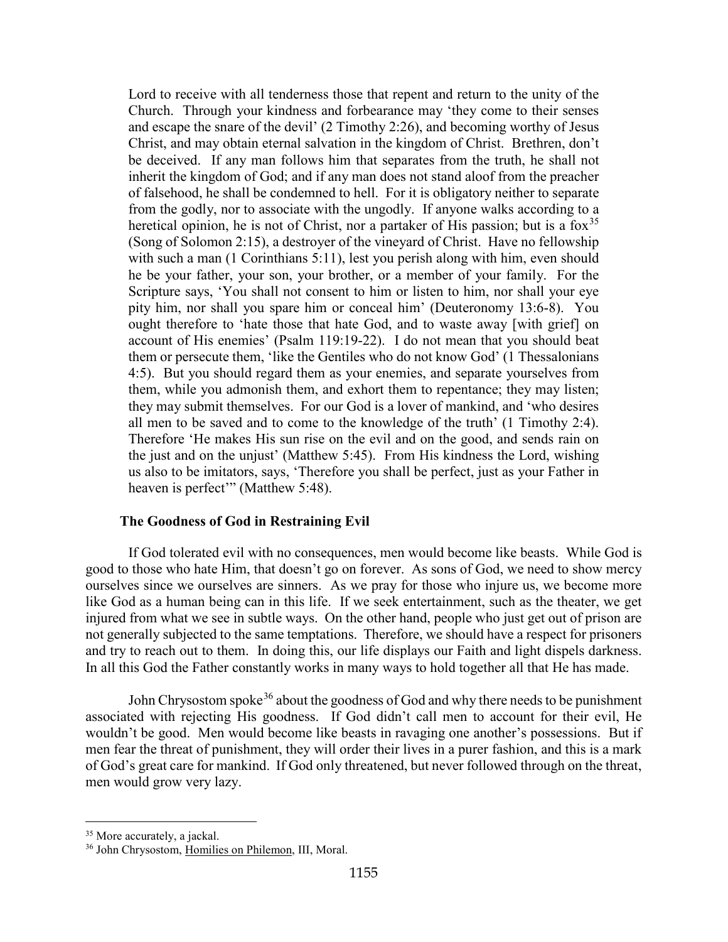Lord to receive with all tenderness those that repent and return to the unity of the Church. Through your kindness and forbearance may 'they come to their senses and escape the snare of the devil' (2 Timothy 2:26), and becoming worthy of Jesus Christ, and may obtain eternal salvation in the kingdom of Christ. Brethren, don't be deceived. If any man follows him that separates from the truth, he shall not inherit the kingdom of God; and if any man does not stand aloof from the preacher of falsehood, he shall be condemned to hell. For it is obligatory neither to separate from the godly, nor to associate with the ungodly. If anyone walks according to a heretical opinion, he is not of Christ, nor a partaker of His passion; but is a  $f(x)$ <sup>[35](#page-25-1)</sup> (Song of Solomon 2:15), a destroyer of the vineyard of Christ. Have no fellowship with such a man (1 Corinthians 5:11), lest you perish along with him, even should he be your father, your son, your brother, or a member of your family. For the Scripture says, 'You shall not consent to him or listen to him, nor shall your eye pity him, nor shall you spare him or conceal him' (Deuteronomy 13:6-8). You ought therefore to 'hate those that hate God, and to waste away [with grief] on account of His enemies' (Psalm 119:19-22). I do not mean that you should beat them or persecute them, 'like the Gentiles who do not know God' (1 Thessalonians 4:5). But you should regard them as your enemies, and separate yourselves from them, while you admonish them, and exhort them to repentance; they may listen; they may submit themselves. For our God is a lover of mankind, and 'who desires all men to be saved and to come to the knowledge of the truth' (1 Timothy 2:4). Therefore 'He makes His sun rise on the evil and on the good, and sends rain on the just and on the unjust' (Matthew 5:45). From His kindness the Lord, wishing us also to be imitators, says, 'Therefore you shall be perfect, just as your Father in heaven is perfect" (Matthew 5:48).

#### **The Goodness of God in Restraining Evil**

<span id="page-25-0"></span>If God tolerated evil with no consequences, men would become like beasts. While God is good to those who hate Him, that doesn't go on forever. As sons of God, we need to show mercy ourselves since we ourselves are sinners. As we pray for those who injure us, we become more like God as a human being can in this life. If we seek entertainment, such as the theater, we get injured from what we see in subtle ways. On the other hand, people who just get out of prison are not generally subjected to the same temptations. Therefore, we should have a respect for prisoners and try to reach out to them. In doing this, our life displays our Faith and light dispels darkness. In all this God the Father constantly works in many ways to hold together all that He has made.

John Chrysostom spoke<sup>[36](#page-25-2)</sup> about the goodness of God and why there needs to be punishment associated with rejecting His goodness. If God didn't call men to account for their evil, He wouldn't be good. Men would become like beasts in ravaging one another's possessions. But if men fear the threat of punishment, they will order their lives in a purer fashion, and this is a mark of God's great care for mankind. If God only threatened, but never followed through on the threat, men would grow very lazy.

<span id="page-25-1"></span><sup>&</sup>lt;sup>35</sup> More accurately, a jackal.

<span id="page-25-2"></span><sup>36</sup> John Chrysostom, Homilies on Philemon, III, Moral.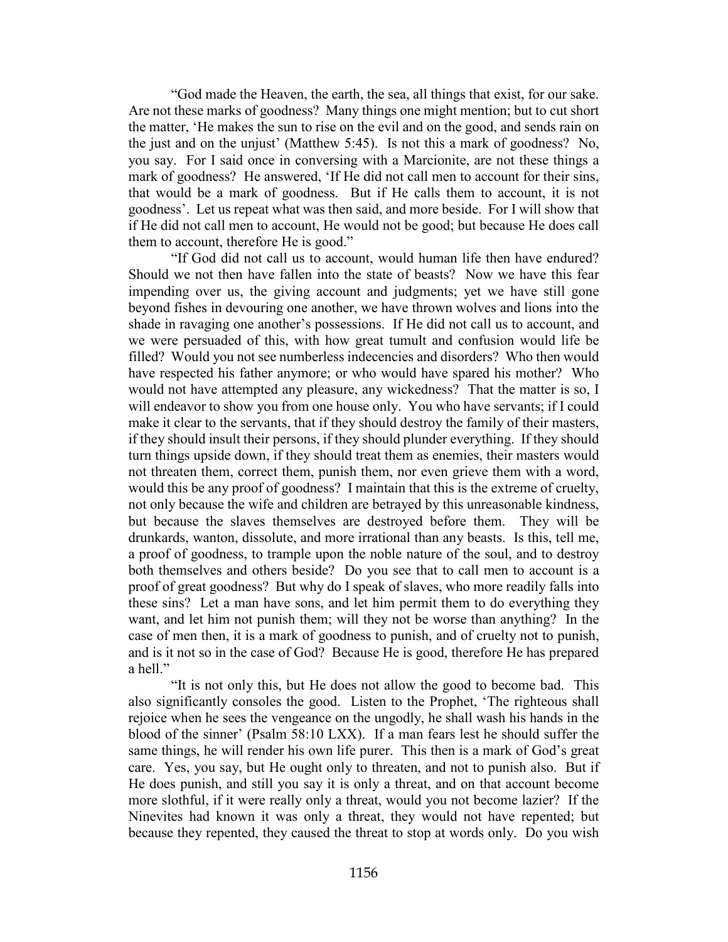"God made the Heaven, the earth, the sea, all things that exist, for our sake. Are not these marks of goodness? Many things one might mention; but to cut short the matter, 'He makes the sun to rise on the evil and on the good, and sends rain on the just and on the unjust' (Matthew 5:45). Is not this a mark of goodness? No, you say. For I said once in conversing with a Marcionite, are not these things a mark of goodness? He answered, 'If He did not call men to account for their sins, that would be a mark of goodness. But if He calls them to account, it is not goodness'. Let us repeat what was then said, and more beside. For I will show that if He did not call men to account, He would not be good; but because He does call them to account, therefore He is good."

"If God did not call us to account, would human life then have endured? Should we not then have fallen into the state of beasts? Now we have this fear impending over us, the giving account and judgments; yet we have still gone beyond fishes in devouring one another, we have thrown wolves and lions into the shade in ravaging one another's possessions. If He did not call us to account, and we were persuaded of this, with how great tumult and confusion would life be filled? Would you not see numberless indecencies and disorders? Who then would have respected his father anymore; or who would have spared his mother? Who would not have attempted any pleasure, any wickedness? That the matter is so, I will endeavor to show you from one house only. You who have servants; if I could make it clear to the servants, that if they should destroy the family of their masters, if they should insult their persons, if they should plunder everything. If they should turn things upside down, if they should treat them as enemies, their masters would not threaten them, correct them, punish them, nor even grieve them with a word, would this be any proof of goodness? I maintain that this is the extreme of cruelty, not only because the wife and children are betrayed by this unreasonable kindness, but because the slaves themselves are destroyed before them. They will be drunkards, wanton, dissolute, and more irrational than any beasts. Is this, tell me, a proof of goodness, to trample upon the noble nature of the soul, and to destroy both themselves and others beside? Do you see that to call men to account is a proof of great goodness? But why do I speak of slaves, who more readily falls into these sins? Let a man have sons, and let him permit them to do everything they want, and let him not punish them; will they not be worse than anything? In the case of men then, it is a mark of goodness to punish, and of cruelty not to punish, and is it not so in the case of God? Because He is good, therefore He has prepared a hell."

"It is not only this, but He does not allow the good to become bad. This also significantly consoles the good. Listen to the Prophet, 'The righteous shall rejoice when he sees the vengeance on the ungodly, he shall wash his hands in the blood of the sinner' (Psalm 58:10 LXX). If a man fears lest he should suffer the same things, he will render his own life purer. This then is a mark of God's great care. Yes, you say, but He ought only to threaten, and not to punish also. But if He does punish, and still you say it is only a threat, and on that account become more slothful, if it were really only a threat, would you not become lazier? If the Ninevites had known it was only a threat, they would not have repented; but because they repented, they caused the threat to stop at words only. Do you wish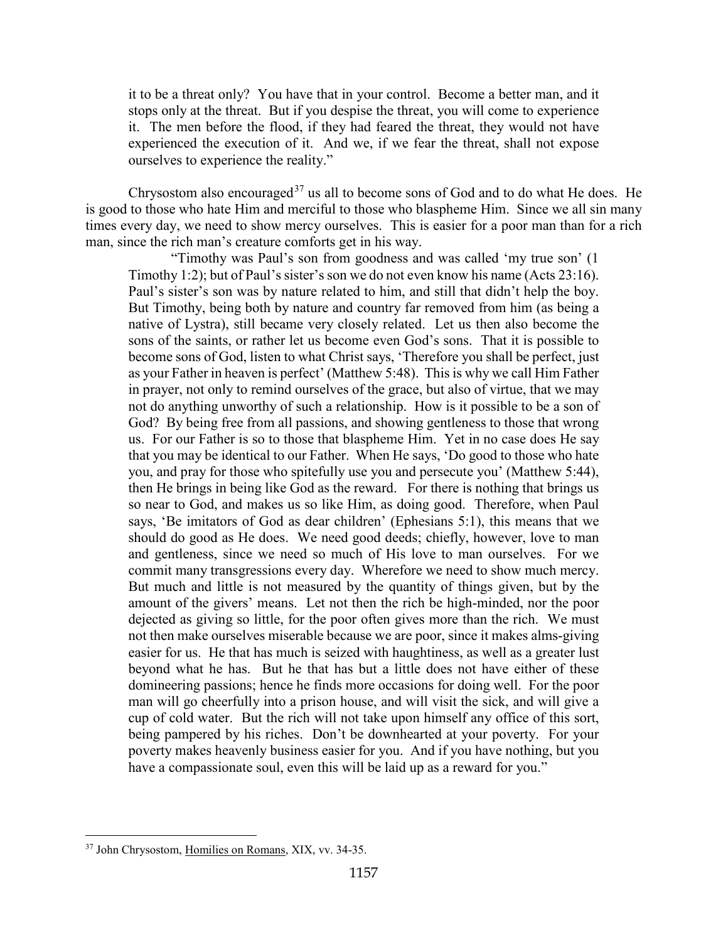it to be a threat only? You have that in your control. Become a better man, and it stops only at the threat. But if you despise the threat, you will come to experience it. The men before the flood, if they had feared the threat, they would not have experienced the execution of it. And we, if we fear the threat, shall not expose ourselves to experience the reality."

Chrysostom also encouraged<sup>[37](#page-27-0)</sup> us all to become sons of God and to do what He does. He is good to those who hate Him and merciful to those who blaspheme Him. Since we all sin many times every day, we need to show mercy ourselves. This is easier for a poor man than for a rich man, since the rich man's creature comforts get in his way.

"Timothy was Paul's son from goodness and was called 'my true son' (1 Timothy 1:2); but of Paul's sister's son we do not even know his name (Acts 23:16). Paul's sister's son was by nature related to him, and still that didn't help the boy. But Timothy, being both by nature and country far removed from him (as being a native of Lystra), still became very closely related. Let us then also become the sons of the saints, or rather let us become even God's sons. That it is possible to become sons of God, listen to what Christ says, 'Therefore you shall be perfect, just as your Father in heaven is perfect' (Matthew 5:48). This is why we call Him Father in prayer, not only to remind ourselves of the grace, but also of virtue, that we may not do anything unworthy of such a relationship. How is it possible to be a son of God? By being free from all passions, and showing gentleness to those that wrong us. For our Father is so to those that blaspheme Him. Yet in no case does He say that you may be identical to our Father. When He says, 'Do good to those who hate you, and pray for those who spitefully use you and persecute you' (Matthew 5:44), then He brings in being like God as the reward. For there is nothing that brings us so near to God, and makes us so like Him, as doing good. Therefore, when Paul says, 'Be imitators of God as dear children' (Ephesians 5:1), this means that we should do good as He does. We need good deeds; chiefly, however, love to man and gentleness, since we need so much of His love to man ourselves. For we commit many transgressions every day. Wherefore we need to show much mercy. But much and little is not measured by the quantity of things given, but by the amount of the givers' means. Let not then the rich be high-minded, nor the poor dejected as giving so little, for the poor often gives more than the rich. We must not then make ourselves miserable because we are poor, since it makes alms-giving easier for us. He that has much is seized with haughtiness, as well as a greater lust beyond what he has. But he that has but a little does not have either of these domineering passions; hence he finds more occasions for doing well. For the poor man will go cheerfully into a prison house, and will visit the sick, and will give a cup of cold water. But the rich will not take upon himself any office of this sort, being pampered by his riches. Don't be downhearted at your poverty. For your poverty makes heavenly business easier for you. And if you have nothing, but you have a compassionate soul, even this will be laid up as a reward for you."

<span id="page-27-0"></span><sup>37</sup> John Chrysostom, Homilies on Romans, XIX, vv. 34-35.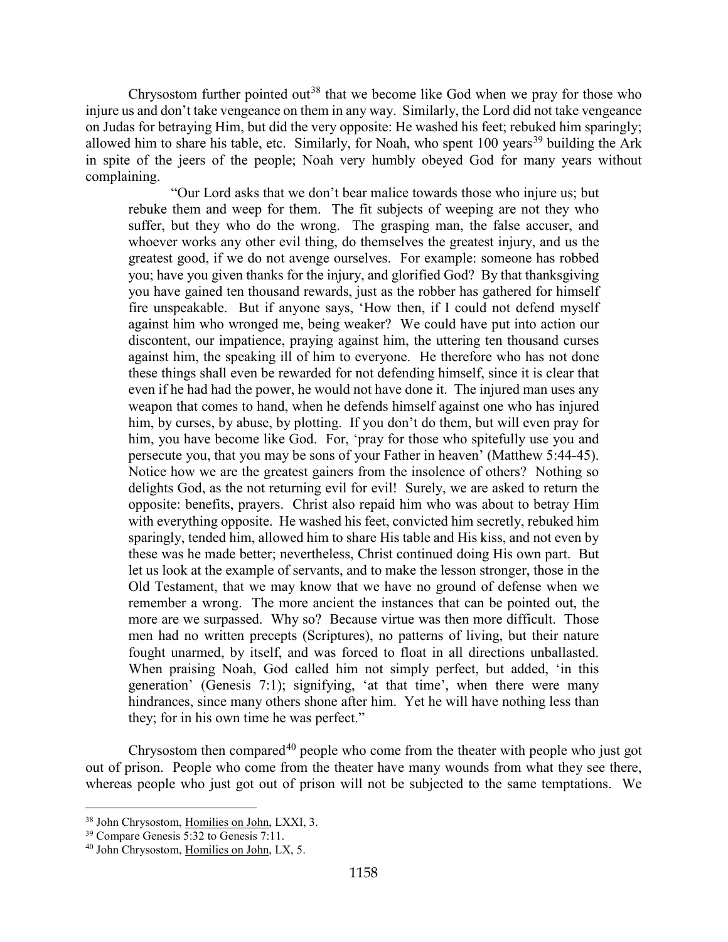Chrysostom further pointed out<sup>[38](#page-28-0)</sup> that we become like God when we pray for those who injure us and don't take vengeance on them in any way. Similarly, the Lord did not take vengeance on Judas for betraying Him, but did the very opposite: He washed his feet; rebuked him sparingly; allowed him to share his table, etc. Similarly, for Noah, who spent  $100$  years<sup>[39](#page-28-1)</sup> building the Ark in spite of the jeers of the people; Noah very humbly obeyed God for many years without complaining.

"Our Lord asks that we don't bear malice towards those who injure us; but rebuke them and weep for them. The fit subjects of weeping are not they who suffer, but they who do the wrong. The grasping man, the false accuser, and whoever works any other evil thing, do themselves the greatest injury, and us the greatest good, if we do not avenge ourselves. For example: someone has robbed you; have you given thanks for the injury, and glorified God? By that thanksgiving you have gained ten thousand rewards, just as the robber has gathered for himself fire unspeakable. But if anyone says, 'How then, if I could not defend myself against him who wronged me, being weaker? We could have put into action our discontent, our impatience, praying against him, the uttering ten thousand curses against him, the speaking ill of him to everyone. He therefore who has not done these things shall even be rewarded for not defending himself, since it is clear that even if he had had the power, he would not have done it. The injured man uses any weapon that comes to hand, when he defends himself against one who has injured him, by curses, by abuse, by plotting. If you don't do them, but will even pray for him, you have become like God. For, 'pray for those who spitefully use you and persecute you, that you may be sons of your Father in heaven' (Matthew 5:44-45). Notice how we are the greatest gainers from the insolence of others? Nothing so delights God, as the not returning evil for evil! Surely, we are asked to return the opposite: benefits, prayers. Christ also repaid him who was about to betray Him with everything opposite. He washed his feet, convicted him secretly, rebuked him sparingly, tended him, allowed him to share His table and His kiss, and not even by these was he made better; nevertheless, Christ continued doing His own part. But let us look at the example of servants, and to make the lesson stronger, those in the Old Testament, that we may know that we have no ground of defense when we remember a wrong. The more ancient the instances that can be pointed out, the more are we surpassed. Why so? Because virtue was then more difficult. Those men had no written precepts (Scriptures), no patterns of living, but their nature fought unarmed, by itself, and was forced to float in all directions unballasted. When praising Noah, God called him not simply perfect, but added, 'in this generation' (Genesis 7:1); signifying, 'at that time', when there were many hindrances, since many others shone after him. Yet he will have nothing less than they; for in his own time he was perfect."

Chrysostom then compared<sup>[40](#page-28-2)</sup> people who come from the theater with people who just got out of prison. People who come from the theater have many wounds from what they see there, whereas people who just got out of prison will not be subjected to the same temptations. We

<span id="page-28-0"></span><sup>38</sup> John Chrysostom, Homilies on John, LXXI, 3.

<span id="page-28-1"></span><sup>39</sup> Compare Genesis 5:32 to Genesis 7:11.

<span id="page-28-2"></span><sup>40</sup> John Chrysostom, Homilies on John, LX, 5.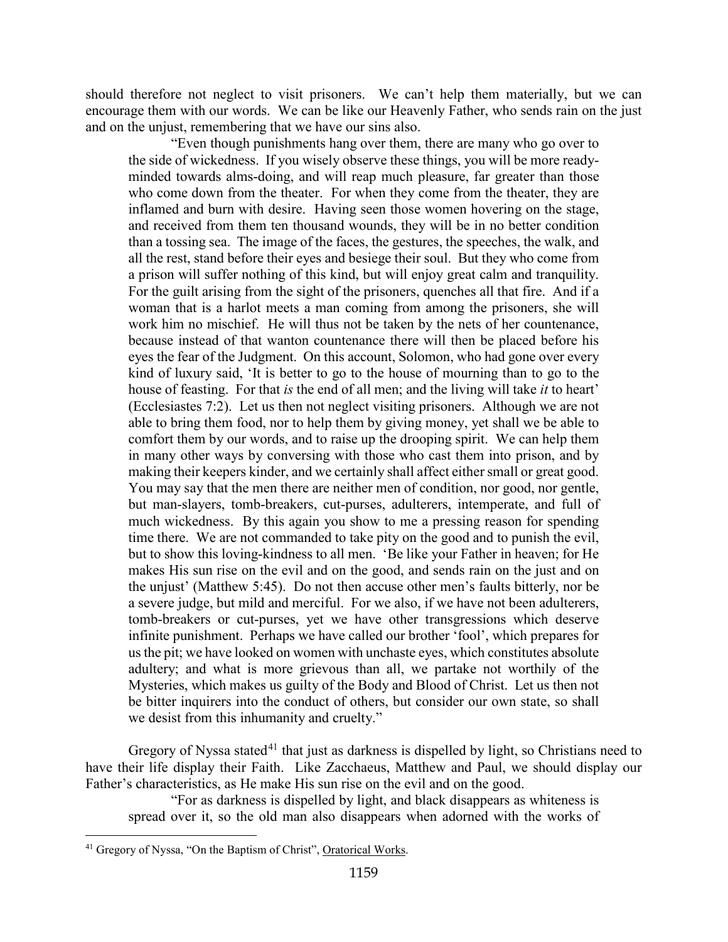should therefore not neglect to visit prisoners. We can't help them materially, but we can encourage them with our words. We can be like our Heavenly Father, who sends rain on the just and on the unjust, remembering that we have our sins also.

"Even though punishments hang over them, there are many who go over to the side of wickedness. If you wisely observe these things, you will be more readyminded towards alms-doing, and will reap much pleasure, far greater than those who come down from the theater. For when they come from the theater, they are inflamed and burn with desire. Having seen those women hovering on the stage, and received from them ten thousand wounds, they will be in no better condition than a tossing sea. The image of the faces, the gestures, the speeches, the walk, and all the rest, stand before their eyes and besiege their soul. But they who come from a prison will suffer nothing of this kind, but will enjoy great calm and tranquility. For the guilt arising from the sight of the prisoners, quenches all that fire. And if a woman that is a harlot meets a man coming from among the prisoners, she will work him no mischief. He will thus not be taken by the nets of her countenance, because instead of that wanton countenance there will then be placed before his eyes the fear of the Judgment. On this account, Solomon, who had gone over every kind of luxury said, 'It is better to go to the house of mourning than to go to the house of feasting. For that *is* the end of all men; and the living will take *it* to heart' (Ecclesiastes 7:2). Let us then not neglect visiting prisoners. Although we are not able to bring them food, nor to help them by giving money, yet shall we be able to comfort them by our words, and to raise up the drooping spirit. We can help them in many other ways by conversing with those who cast them into prison, and by making their keepers kinder, and we certainly shall affect either small or great good. You may say that the men there are neither men of condition, nor good, nor gentle, but man-slayers, tomb-breakers, cut-purses, adulterers, intemperate, and full of much wickedness. By this again you show to me a pressing reason for spending time there. We are not commanded to take pity on the good and to punish the evil, but to show this loving-kindness to all men. 'Be like your Father in heaven; for He makes His sun rise on the evil and on the good, and sends rain on the just and on the unjust' (Matthew 5:45). Do not then accuse other men's faults bitterly, nor be a severe judge, but mild and merciful. For we also, if we have not been adulterers, tomb-breakers or cut-purses, yet we have other transgressions which deserve infinite punishment. Perhaps we have called our brother 'fool', which prepares for us the pit; we have looked on women with unchaste eyes, which constitutes absolute adultery; and what is more grievous than all, we partake not worthily of the Mysteries, which makes us guilty of the Body and Blood of Christ. Let us then not be bitter inquirers into the conduct of others, but consider our own state, so shall we desist from this inhumanity and cruelty."

Gregory of Nyssa stated<sup>[41](#page-29-0)</sup> that just as darkness is dispelled by light, so Christians need to have their life display their Faith. Like Zacchaeus, Matthew and Paul, we should display our Father's characteristics, as He make His sun rise on the evil and on the good.

"For as darkness is dispelled by light, and black disappears as whiteness is spread over it, so the old man also disappears when adorned with the works of

<span id="page-29-0"></span><sup>&</sup>lt;sup>41</sup> Gregory of Nyssa, "On the Baptism of Christ", Oratorical Works.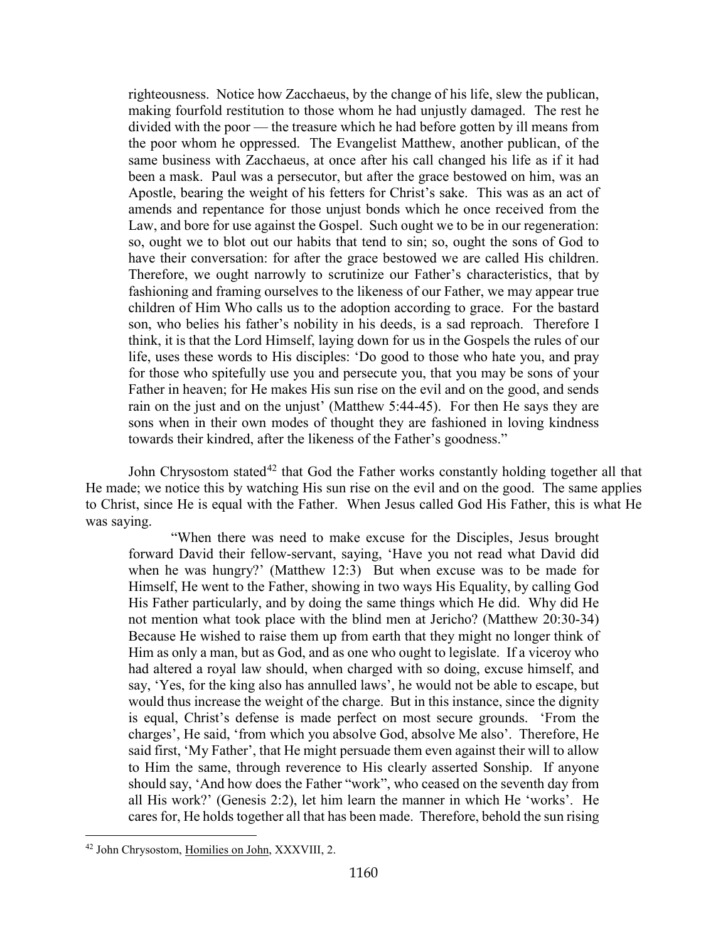righteousness. Notice how Zacchaeus, by the change of his life, slew the publican, making fourfold restitution to those whom he had unjustly damaged. The rest he divided with the poor — the treasure which he had before gotten by ill means from the poor whom he oppressed. The Evangelist Matthew, another publican, of the same business with Zacchaeus, at once after his call changed his life as if it had been a mask. Paul was a persecutor, but after the grace bestowed on him, was an Apostle, bearing the weight of his fetters for Christ's sake. This was as an act of amends and repentance for those unjust bonds which he once received from the Law, and bore for use against the Gospel. Such ought we to be in our regeneration: so, ought we to blot out our habits that tend to sin; so, ought the sons of God to have their conversation: for after the grace bestowed we are called His children. Therefore, we ought narrowly to scrutinize our Father's characteristics, that by fashioning and framing ourselves to the likeness of our Father, we may appear true children of Him Who calls us to the adoption according to grace. For the bastard son, who belies his father's nobility in his deeds, is a sad reproach. Therefore I think, it is that the Lord Himself, laying down for us in the Gospels the rules of our life, uses these words to His disciples: 'Do good to those who hate you, and pray for those who spitefully use you and persecute you, that you may be sons of your Father in heaven; for He makes His sun rise on the evil and on the good, and sends rain on the just and on the unjust' (Matthew 5:44-45). For then He says they are sons when in their own modes of thought they are fashioned in loving kindness towards their kindred, after the likeness of the Father's goodness."

John Chrysostom stated<sup>[42](#page-30-0)</sup> that God the Father works constantly holding together all that He made; we notice this by watching His sun rise on the evil and on the good. The same applies to Christ, since He is equal with the Father. When Jesus called God His Father, this is what He was saying.

"When there was need to make excuse for the Disciples, Jesus brought forward David their fellow-servant, saying, 'Have you not read what David did when he was hungry?' (Matthew 12:3) But when excuse was to be made for Himself, He went to the Father, showing in two ways His Equality, by calling God His Father particularly, and by doing the same things which He did. Why did He not mention what took place with the blind men at Jericho? (Matthew 20:30-34) Because He wished to raise them up from earth that they might no longer think of Him as only a man, but as God, and as one who ought to legislate. If a viceroy who had altered a royal law should, when charged with so doing, excuse himself, and say, 'Yes, for the king also has annulled laws', he would not be able to escape, but would thus increase the weight of the charge. But in this instance, since the dignity is equal, Christ's defense is made perfect on most secure grounds. 'From the charges', He said, 'from which you absolve God, absolve Me also'. Therefore, He said first, 'My Father', that He might persuade them even against their will to allow to Him the same, through reverence to His clearly asserted Sonship. If anyone should say, 'And how does the Father "work", who ceased on the seventh day from all His work?' (Genesis 2:2), let him learn the manner in which He 'works'. He cares for, He holds together all that has been made. Therefore, behold the sun rising

<span id="page-30-0"></span><sup>42</sup> John Chrysostom, Homilies on John, XXXVIII, 2.